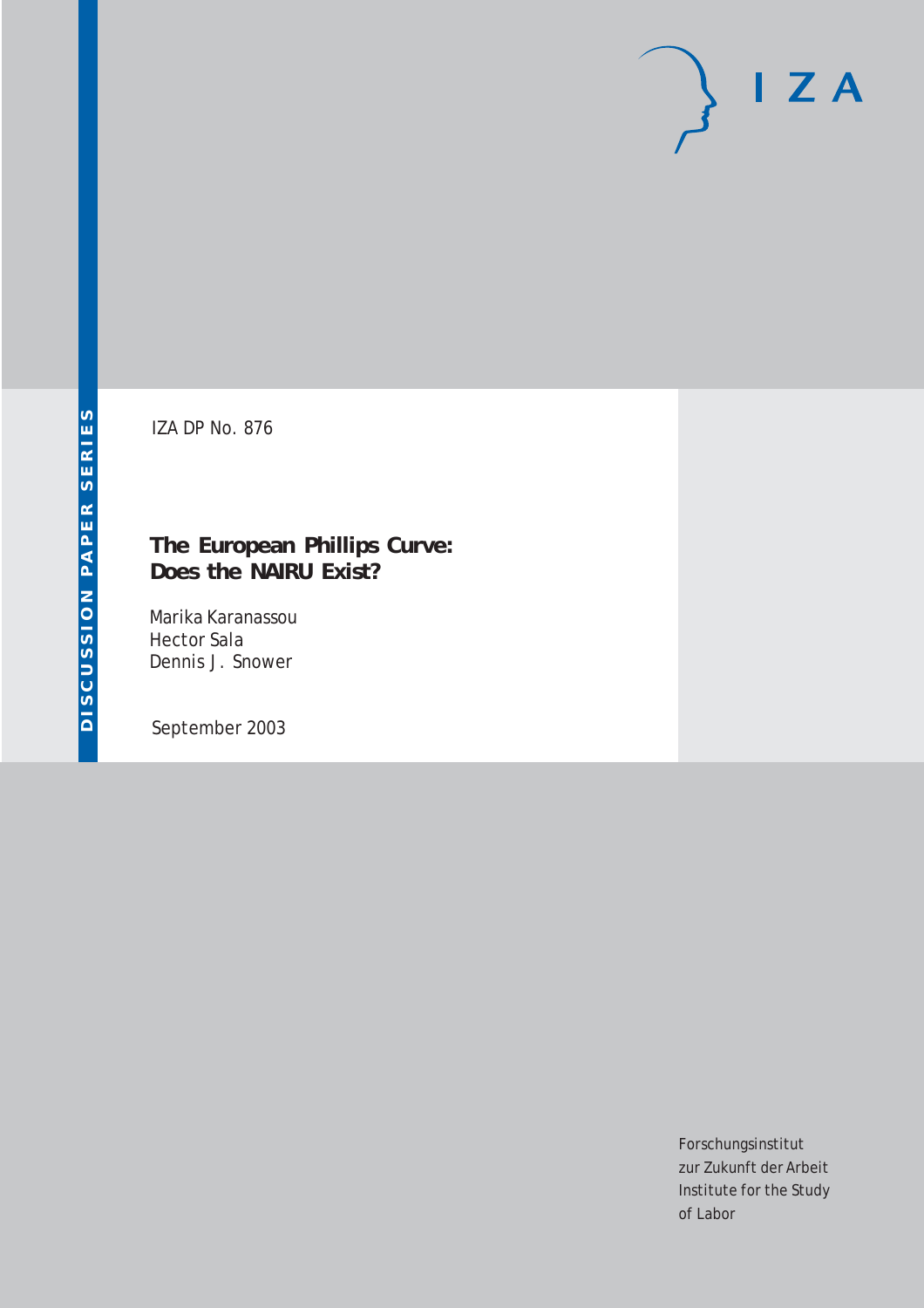# $I Z A$

IZA DP No. 876

## **The European Phillips Curve: Does the NAIRU Exist?**

Marika Karanassou Hector Sala Dennis J. Snower

September 2003

Forschungsinstitut zur Zukunft der Arbeit Institute for the Study of Labor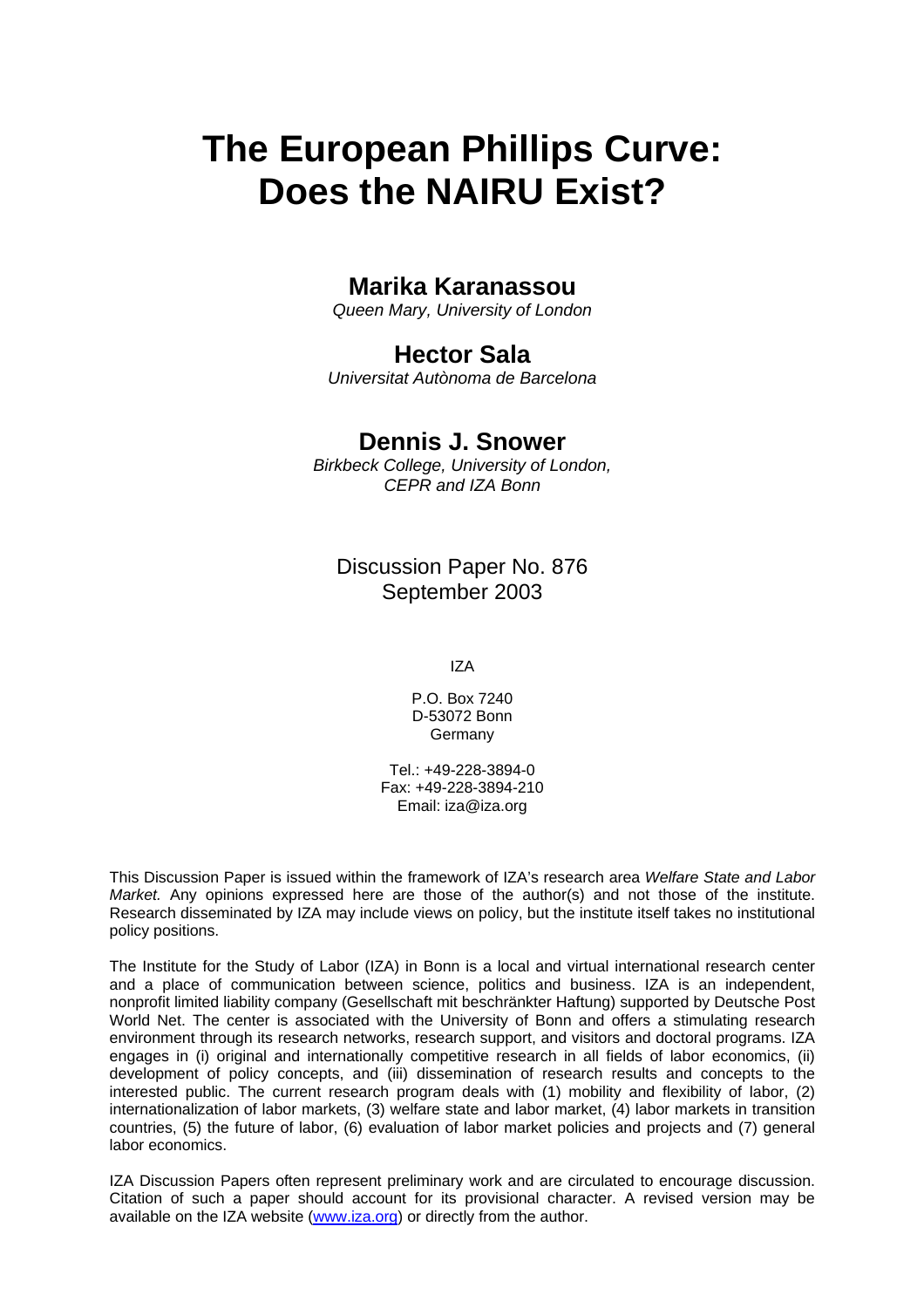# **The European Phillips Curve: Does the NAIRU Exist?**

## **Marika Karanassou**

*Queen Mary, University of London* 

## **Hector Sala**

*Universitat Autònoma de Barcelona*

### **Dennis J. Snower**

*Birkbeck College, University of London, CEPR and IZA Bonn*

Discussion Paper No. 876 September 2003

IZA

P.O. Box 7240 D-53072 Bonn **Germany** 

Tel.: +49-228-3894-0 Fax: +49-228-3894-210 Email: [iza@iza.org](mailto:iza@iza.org)

This Discussion Paper is issued within the framework of IZA's research area *Welfare State and Labor Market.* Any opinions expressed here are those of the author(s) and not those of the institute. Research disseminated by IZA may include views on policy, but the institute itself takes no institutional policy positions.

The Institute for the Study of Labor (IZA) in Bonn is a local and virtual international research center and a place of communication between science, politics and business. IZA is an independent, nonprofit limited liability company (Gesellschaft mit beschränkter Haftung) supported by Deutsche Post World Net. The center is associated with the University of Bonn and offers a stimulating research environment through its research networks, research support, and visitors and doctoral programs. IZA engages in (i) original and internationally competitive research in all fields of labor economics, (ii) development of policy concepts, and (iii) dissemination of research results and concepts to the interested public. The current research program deals with (1) mobility and flexibility of labor, (2) internationalization of labor markets, (3) welfare state and labor market, (4) labor markets in transition countries, (5) the future of labor, (6) evaluation of labor market policies and projects and (7) general labor economics.

IZA Discussion Papers often represent preliminary work and are circulated to encourage discussion. Citation of such a paper should account for its provisional character. A revised version may be available on the IZA website ([www.iza.org](http://www.iza.org/)) or directly from the author.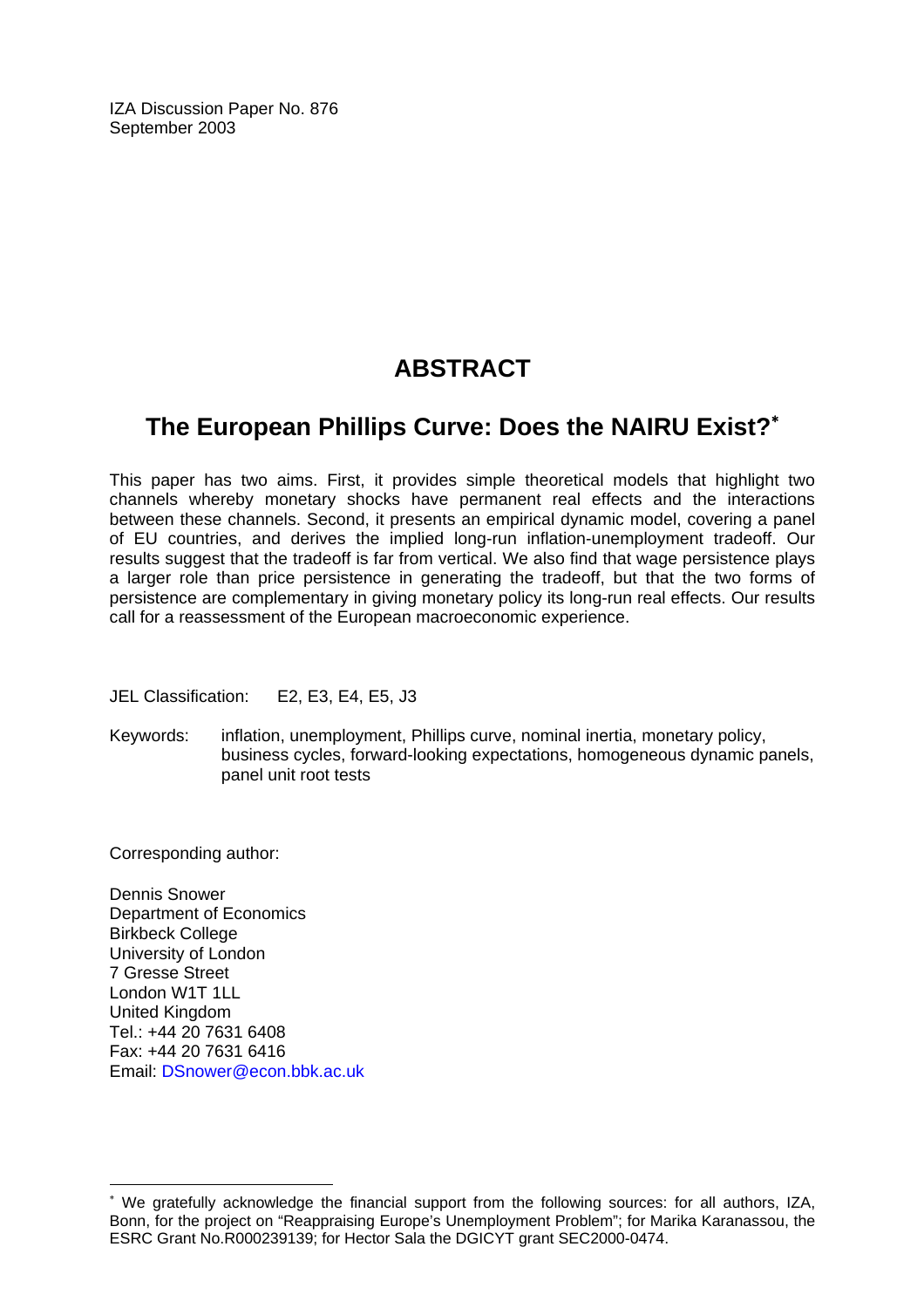IZA Discussion Paper No. 876 September 2003

## **ABSTRACT**

## **The European Phillips Curve: Does the NAIRU Exist?**[∗](#page-2-0)

This paper has two aims. First, it provides simple theoretical models that highlight two channels whereby monetary shocks have permanent real effects and the interactions between these channels. Second, it presents an empirical dynamic model, covering a panel of EU countries, and derives the implied long-run inflation-unemployment tradeoff. Our results suggest that the tradeoff is far from vertical. We also find that wage persistence plays a larger role than price persistence in generating the tradeoff, but that the two forms of persistence are complementary in giving monetary policy its long-run real effects. Our results call for a reassessment of the European macroeconomic experience.

JEL Classification: E2, E3, E4, E5, J3

Keywords: inflation, unemployment, Phillips curve, nominal inertia, monetary policy, business cycles, forward-looking expectations, homogeneous dynamic panels, panel unit root tests

Corresponding author:

 $\overline{a}$ 

Dennis Snower Department of Economics Birkbeck College University of London 7 Gresse Street London W1T 1LL United Kingdom Tel.: +44 20 7631 6408 Fax: +44 20 7631 6416 Email: [DSnower@econ.bbk.ac.uk](mailto:DSnower@econ.bbk.ac.uk)

<span id="page-2-0"></span><sup>∗</sup> We gratefully acknowledge the financial support from the following sources: for all authors, IZA, Bonn, for the project on "Reappraising Europe's Unemployment Problem"; for Marika Karanassou, the ESRC Grant No.R000239139; for Hector Sala the DGICYT grant SEC2000-0474.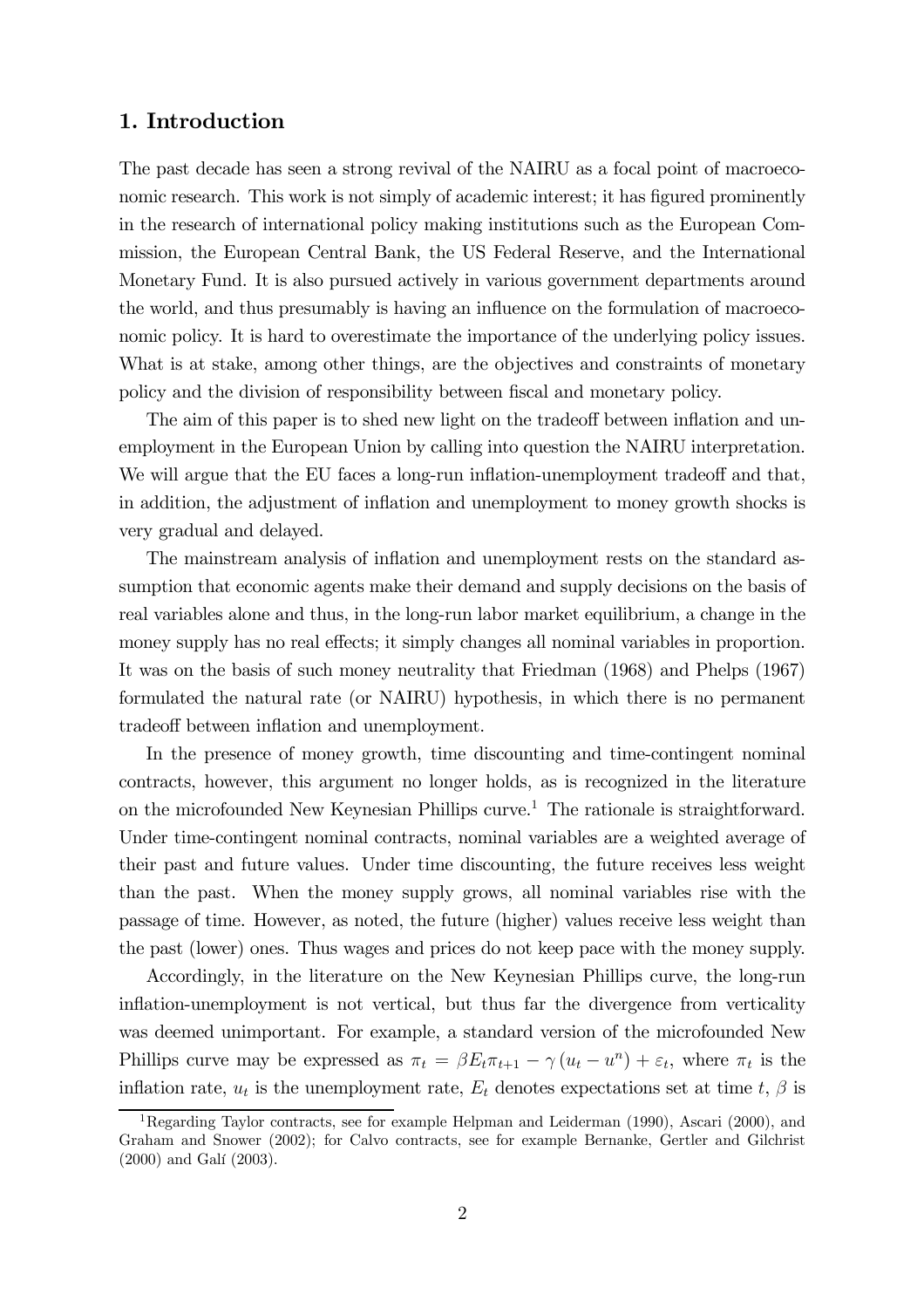#### 1. Introduction

The past decade has seen a strong revival of the NAIRU as a focal point of macroeconomic research. This work is not simply of academic interest; it has figured prominently in the research of international policy making institutions such as the European Commission, the European Central Bank, the US Federal Reserve, and the International Monetary Fund. It is also pursued actively in various government departments around the world, and thus presumably is having an influence on the formulation of macroeconomic policy. It is hard to overestimate the importance of the underlying policy issues. What is at stake, among other things, are the objectives and constraints of monetary policy and the division of responsibility between fiscal and monetary policy.

The aim of this paper is to shed new light on the tradeoff between inflation and unemployment in the European Union by calling into question the NAIRU interpretation. We will argue that the EU faces a long-run inflation-unemployment tradeoff and that, in addition, the adjustment of inflation and unemployment to money growth shocks is very gradual and delayed.

The mainstream analysis of inflation and unemployment rests on the standard assumption that economic agents make their demand and supply decisions on the basis of real variables alone and thus, in the long-run labor market equilibrium, a change in the money supply has no real effects; it simply changes all nominal variables in proportion. It was on the basis of such money neutrality that Friedman (1968) and Phelps (1967) formulated the natural rate (or NAIRU) hypothesis, in which there is no permanent tradeoff between inflation and unemployment.

In the presence of money growth, time discounting and time-contingent nominal contracts, however, this argument no longer holds, as is recognized in the literature on the microfounded New Keynesian Phillips curve.<sup>1</sup> The rationale is straightforward. Under time-contingent nominal contracts, nominal variables are a weighted average of their past and future values. Under time discounting, the future receives less weight than the past. When the money supply grows, all nominal variables rise with the passage of time. However, as noted, the future (higher) values receive less weight than the past (lower) ones. Thus wages and prices do not keep pace with the money supply.

Accordingly, in the literature on the New Keynesian Phillips curve, the long-run inflation-unemployment is not vertical, but thus far the divergence from verticality was deemed unimportant. For example, a standard version of the microfounded New Phillips curve may be expressed as  $\pi_t = \beta E_t \pi_{t+1} - \gamma (u_t - u^n) + \varepsilon_t$ , where  $\pi_t$  is the inflation rate,  $u_t$  is the unemployment rate,  $E_t$  denotes expectations set at time t,  $\beta$  is

<sup>&</sup>lt;sup>1</sup>Regarding Taylor contracts, see for example Helpman and Leiderman (1990), Ascari (2000), and Graham and Snower (2002); for Calvo contracts, see for example Bernanke, Gertler and Gilchrist (2000) and Galí (2003).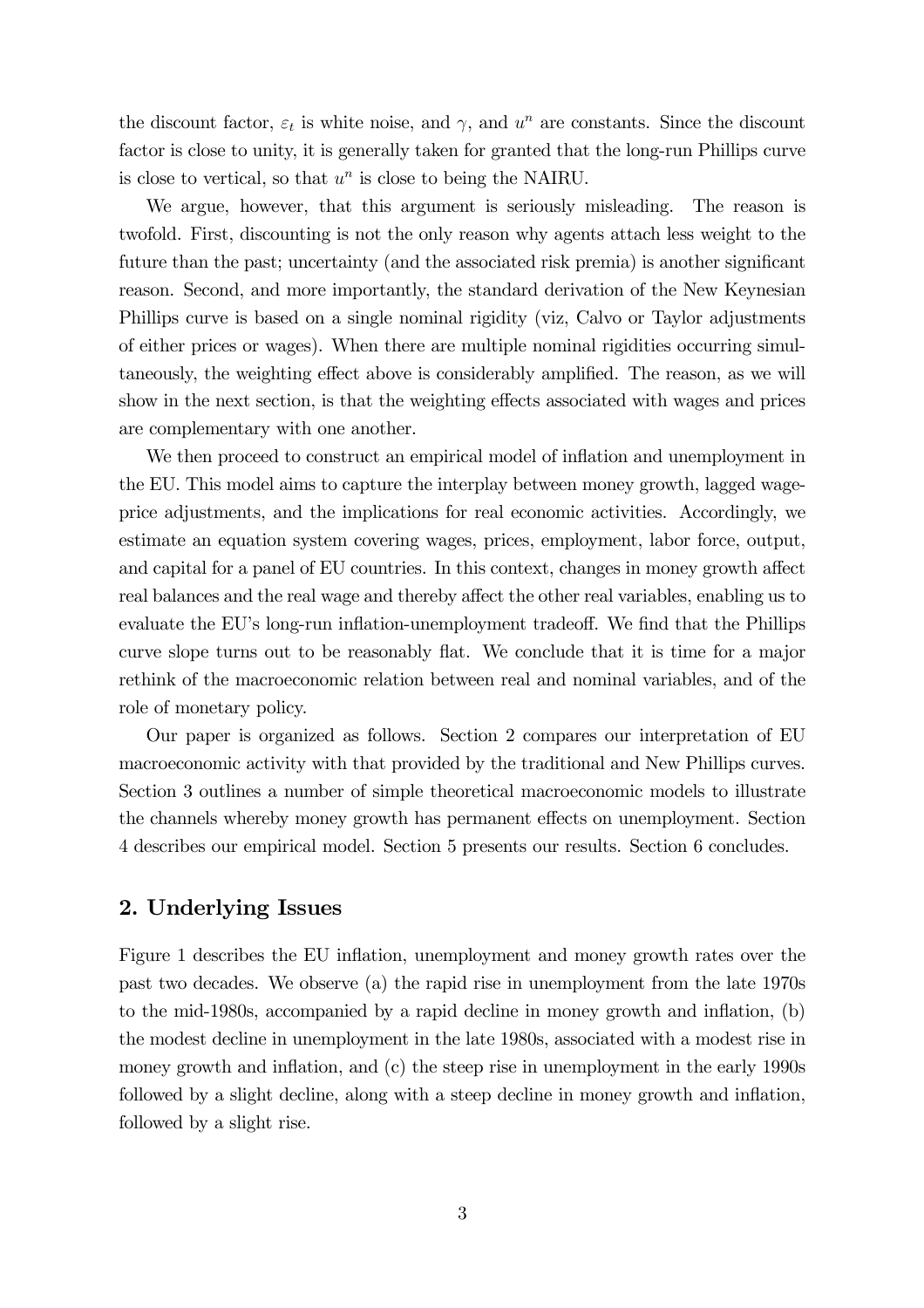the discount factor,  $\varepsilon_t$  is white noise, and  $\gamma$ , and  $u^n$  are constants. Since the discount factor is close to unity, it is generally taken for granted that the long-run Phillips curve is close to vertical, so that  $u^n$  is close to being the NAIRU.

We argue, however, that this argument is seriously misleading. The reason is twofold. First, discounting is not the only reason why agents attach less weight to the future than the past; uncertainty (and the associated risk premia) is another significant reason. Second, and more importantly, the standard derivation of the New Keynesian Phillips curve is based on a single nominal rigidity (viz, Calvo or Taylor adjustments of either prices or wages). When there are multiple nominal rigidities occurring simultaneously, the weighting effect above is considerably amplified. The reason, as we will show in the next section, is that the weighting effects associated with wages and prices are complementary with one another.

We then proceed to construct an empirical model of inflation and unemployment in the EU. This model aims to capture the interplay between money growth, lagged wageprice adjustments, and the implications for real economic activities. Accordingly, we estimate an equation system covering wages, prices, employment, labor force, output, and capital for a panel of EU countries. In this context, changes in money growth affect real balances and the real wage and thereby affect the other real variables, enabling us to evaluate the EU's long-run inflation-unemployment tradeoff. We find that the Phillips curve slope turns out to be reasonably flat. We conclude that it is time for a major rethink of the macroeconomic relation between real and nominal variables, and of the role of monetary policy.

Our paper is organized as follows. Section 2 compares our interpretation of EU macroeconomic activity with that provided by the traditional and New Phillips curves. Section 3 outlines a number of simple theoretical macroeconomic models to illustrate the channels whereby money growth has permanent effects on unemployment. Section 4 describes our empirical model. Section 5 presents our results. Section 6 concludes.

#### 2. Underlying Issues

Figure 1 describes the EU inflation, unemployment and money growth rates over the past two decades. We observe (a) the rapid rise in unemployment from the late 1970s to the mid-1980s, accompanied by a rapid decline in money growth and inflation, (b) the modest decline in unemployment in the late 1980s, associated with a modest rise in money growth and inflation, and (c) the steep rise in unemployment in the early 1990s followed by a slight decline, along with a steep decline in money growth and inflation, followed by a slight rise.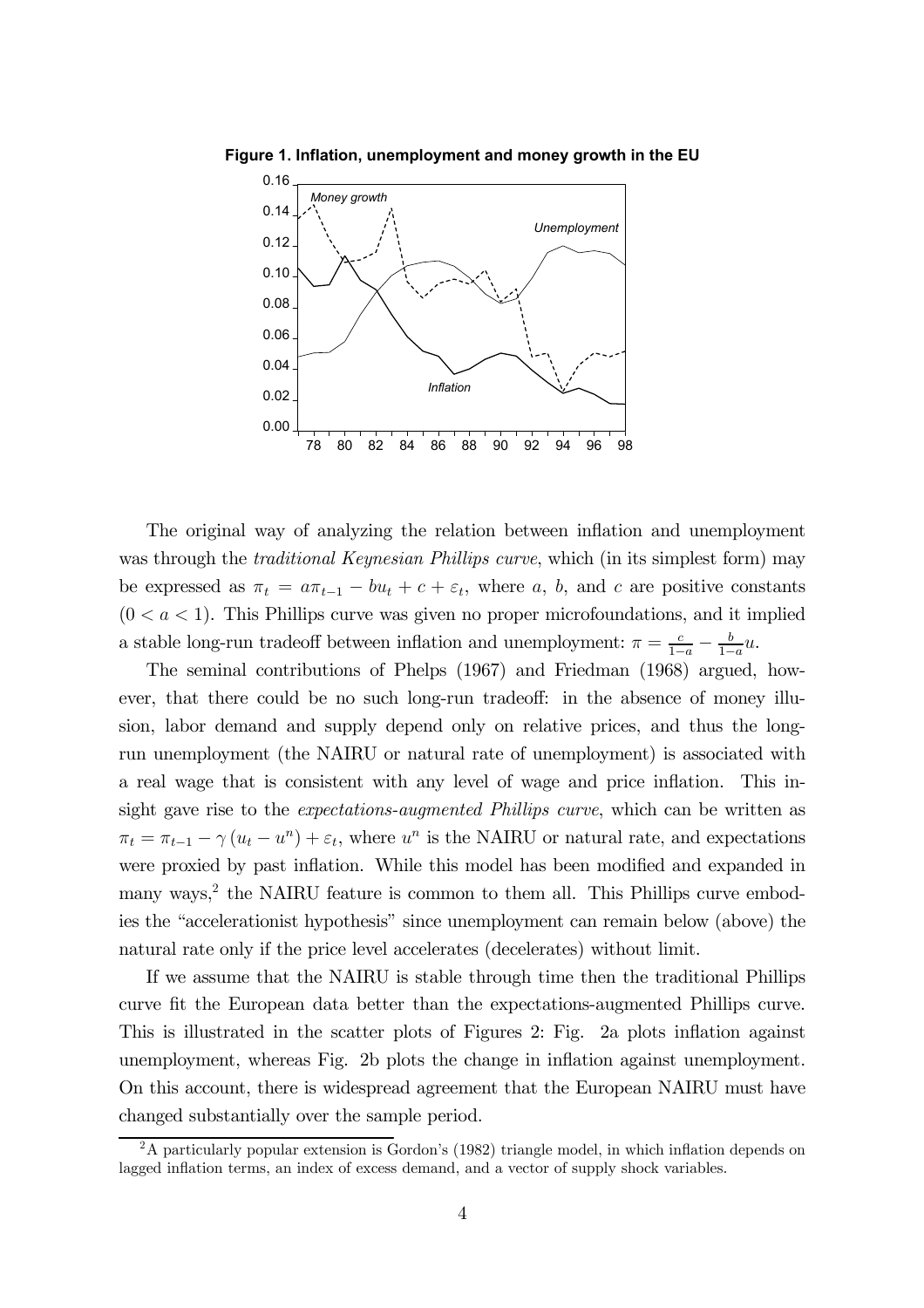

**Figure 1. Inflation, unemployment and money growth in the EU**

The original way of analyzing the relation between inflation and unemployment was through the *traditional Keynesian Phillips curve*, which (in its simplest form) may be expressed as  $\pi_t = a\pi_{t-1} - bu_t + c + \varepsilon_t$ , where a, b, and c are positive constants  $(0 < a < 1)$ . This Phillips curve was given no proper microfoundations, and it implied a stable long-run tradeoff between inflation and unemployment:  $\pi = \frac{c}{1-a} - \frac{b}{1-a}u$ .

The seminal contributions of Phelps (1967) and Friedman (1968) argued, however, that there could be no such long-run tradeoff: in the absence of money illusion, labor demand and supply depend only on relative prices, and thus the longrun unemployment (the NAIRU or natural rate of unemployment) is associated with a real wage that is consistent with any level of wage and price inflation. This insight gave rise to the *expectations-augmented Phillips curve*, which can be written as  $\pi_t = \pi_{t-1} - \gamma (u_t - u^2) + \varepsilon_t$ , where  $u^n$  is the NAIRU or natural rate, and expectations were proxied by past inflation. While this model has been modified and expanded in many ways,<sup>2</sup> the NAIRU feature is common to them all. This Phillips curve embodies the "accelerationist hypothesis" since unemployment can remain below (above) the natural rate only if the price level accelerates (decelerates) without limit.

If we assume that the NAIRU is stable through time then the traditional Phillips curve fit the European data better than the expectations-augmented Phillips curve. This is illustrated in the scatter plots of Figures 2: Fig. 2a plots inflation against unemployment, whereas Fig. 2b plots the change in inflation against unemployment. On this account, there is widespread agreement that the European NAIRU must have changed substantially over the sample period.

<sup>&</sup>lt;sup>2</sup>A particularly popular extension is Gordon's (1982) triangle model, in which inflation depends on lagged inflation terms, an index of excess demand, and a vector of supply shock variables.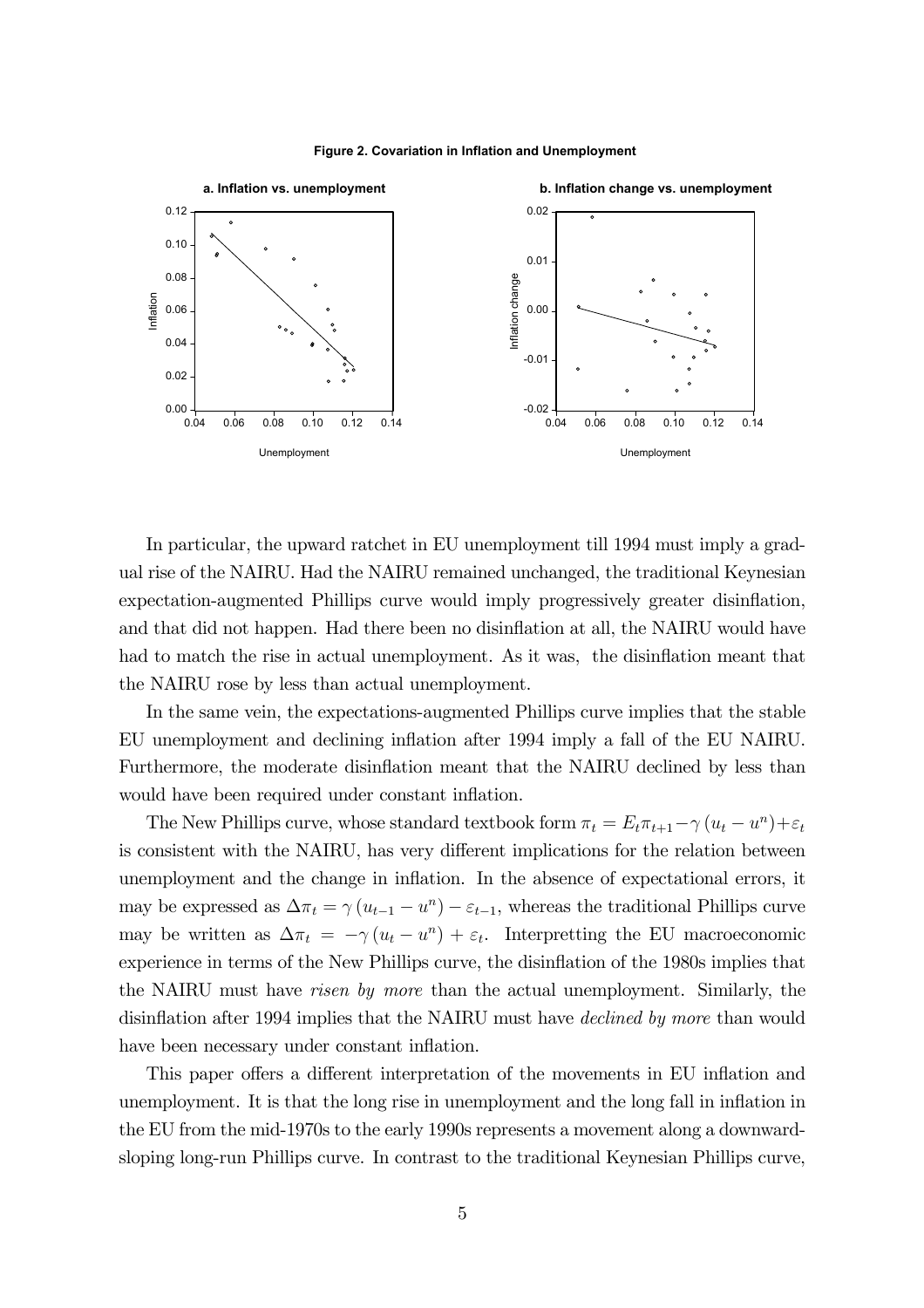



In particular, the upward ratchet in EU unemployment till 1994 must imply a gradual rise of the NAIRU. Had the NAIRU remained unchanged, the traditional Keynesian expectation-augmented Phillips curve would imply progressively greater disinflation, and that did not happen. Had there been no disinflation at all, the NAIRU would have had to match the rise in actual unemployment. As it was, the disinflation meant that the NAIRU rose by less than actual unemployment.

In the same vein, the expectations-augmented Phillips curve implies that the stable EU unemployment and declining inflation after 1994 imply a fall of the EU NAIRU. Furthermore, the moderate disinflation meant that the NAIRU declined by less than would have been required under constant inflation.

The New Phillips curve, whose standard textbook form  $\pi_t = E_t \pi_{t+1} - \gamma (u_t - u^n) + \varepsilon_t$ is consistent with the NAIRU, has very different implications for the relation between unemployment and the change in inflation. In the absence of expectational errors, it may be expressed as  $\Delta \pi_t = \gamma (u_{t-1} - u^n) - \varepsilon_{t-1}$ , whereas the traditional Phillips curve may be written as  $\Delta \pi_t = -\gamma (u_t - u^2) + \varepsilon_t$ . Interpretting the EU macroeconomic experience in terms of the New Phillips curve, the disinflation of the 1980s implies that the NAIRU must have risen by more than the actual unemployment. Similarly, the disinflation after 1994 implies that the NAIRU must have declined by more than would have been necessary under constant inflation.

This paper offers a different interpretation of the movements in EU inflation and unemployment. It is that the long rise in unemployment and the long fall in inflation in the EU from the mid-1970s to the early 1990s represents a movement along a downwardsloping long-run Phillips curve. In contrast to the traditional Keynesian Phillips curve,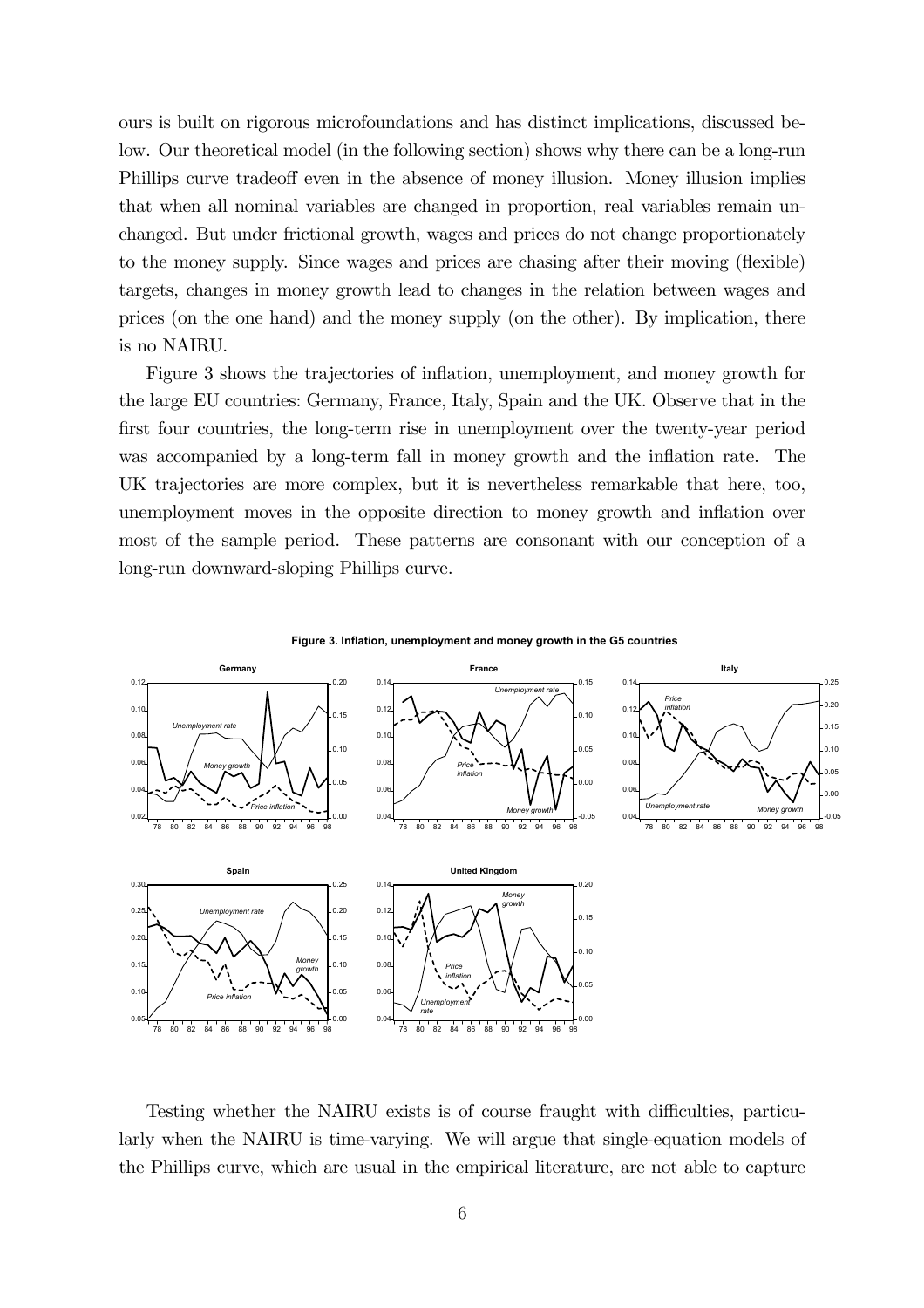ours is built on rigorous microfoundations and has distinct implications, discussed below. Our theoretical model (in the following section) shows why there can be a long-run Phillips curve tradeoff even in the absence of money illusion. Money illusion implies that when all nominal variables are changed in proportion, real variables remain unchanged. But under frictional growth, wages and prices do not change proportionately to the money supply. Since wages and prices are chasing after their moving (flexible) targets, changes in money growth lead to changes in the relation between wages and prices (on the one hand) and the money supply (on the other). By implication, there is no NAIRU.

Figure 3 shows the trajectories of inflation, unemployment, and money growth for the large EU countries: Germany, France, Italy, Spain and the UK. Observe that in the first four countries, the long-term rise in unemployment over the twenty-year period was accompanied by a long-term fall in money growth and the inflation rate. The UK trajectories are more complex, but it is nevertheless remarkable that here, too, unemployment moves in the opposite direction to money growth and inflation over most of the sample period. These patterns are consonant with our conception of a long-run downward-sloping Phillips curve.



Testing whether the NAIRU exists is of course fraught with difficulties, particularly when the NAIRU is time-varying. We will argue that single-equation models of the Phillips curve, which are usual in the empirical literature, are not able to capture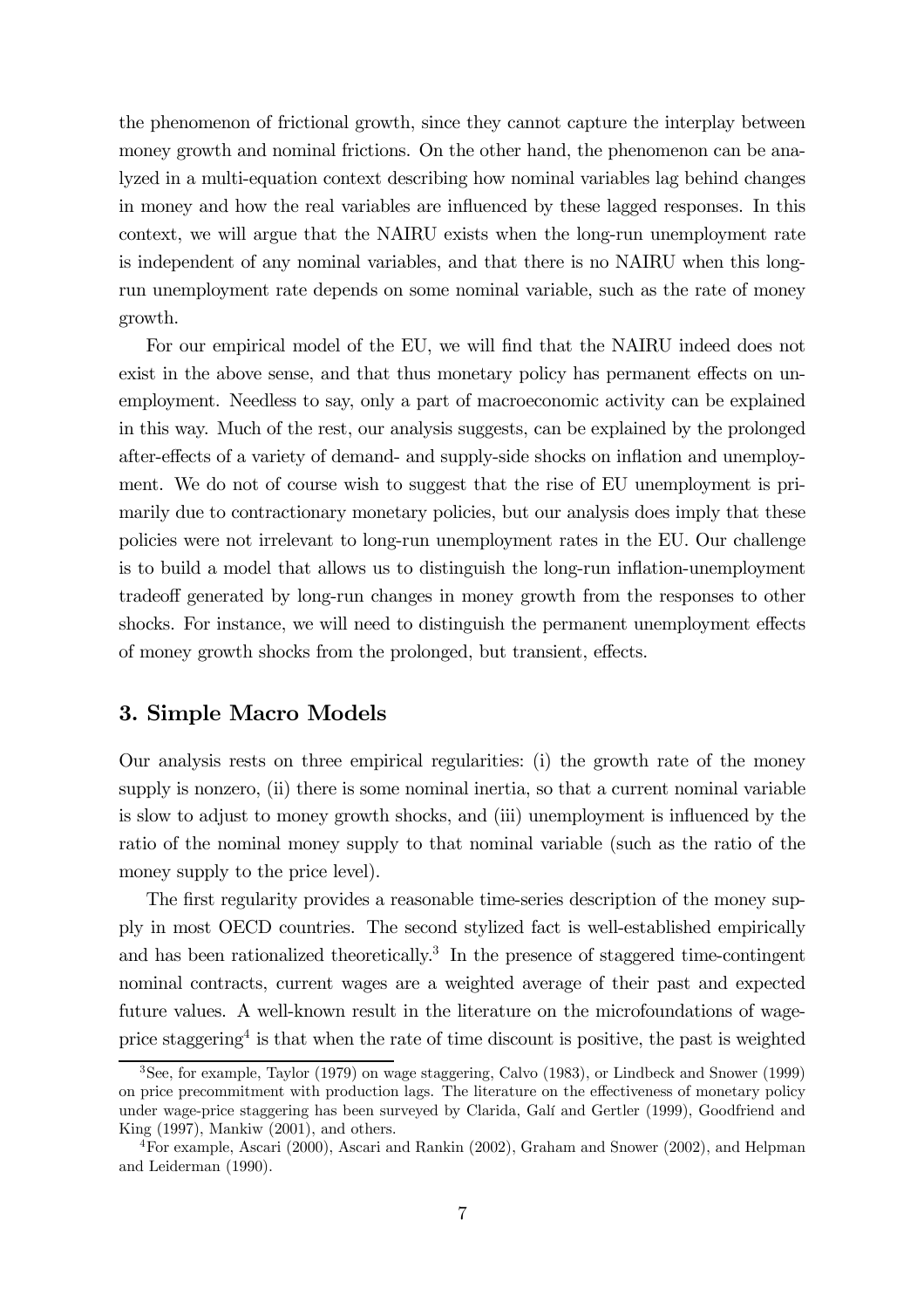the phenomenon of frictional growth, since they cannot capture the interplay between money growth and nominal frictions. On the other hand, the phenomenon can be analyzed in a multi-equation context describing how nominal variables lag behind changes in money and how the real variables are influenced by these lagged responses. In this context, we will argue that the NAIRU exists when the long-run unemployment rate is independent of any nominal variables, and that there is no NAIRU when this longrun unemployment rate depends on some nominal variable, such as the rate of money growth.

For our empirical model of the EU, we will find that the NAIRU indeed does not exist in the above sense, and that thus monetary policy has permanent effects on unemployment. Needless to say, only a part of macroeconomic activity can be explained in this way. Much of the rest, our analysis suggests, can be explained by the prolonged after-effects of a variety of demand- and supply-side shocks on inflation and unemployment. We do not of course wish to suggest that the rise of EU unemployment is primarily due to contractionary monetary policies, but our analysis does imply that these policies were not irrelevant to long-run unemployment rates in the EU. Our challenge is to build a model that allows us to distinguish the long-run inflation-unemployment tradeoff generated by long-run changes in money growth from the responses to other shocks. For instance, we will need to distinguish the permanent unemployment effects of money growth shocks from the prolonged, but transient, effects.

#### 3. Simple Macro Models

Our analysis rests on three empirical regularities: (i) the growth rate of the money supply is nonzero, (ii) there is some nominal inertia, so that a current nominal variable is slow to adjust to money growth shocks, and (iii) unemployment is influenced by the ratio of the nominal money supply to that nominal variable (such as the ratio of the money supply to the price level).

The first regularity provides a reasonable time-series description of the money supply in most OECD countries. The second stylized fact is well-established empirically and has been rationalized theoretically.3 In the presence of staggered time-contingent nominal contracts, current wages are a weighted average of their past and expected future values. A well-known result in the literature on the microfoundations of wageprice staggering<sup>4</sup> is that when the rate of time discount is positive, the past is weighted

<sup>3</sup>See, for example, Taylor (1979) on wage staggering, Calvo (1983), or Lindbeck and Snower (1999) on price precommitment with production lags. The literature on the effectiveness of monetary policy under wage-price staggering has been surveyed by Clarida, Galí and Gertler (1999), Goodfriend and King (1997), Mankiw (2001), and others.

<sup>4</sup>For example, Ascari (2000), Ascari and Rankin (2002), Graham and Snower (2002), and Helpman and Leiderman (1990).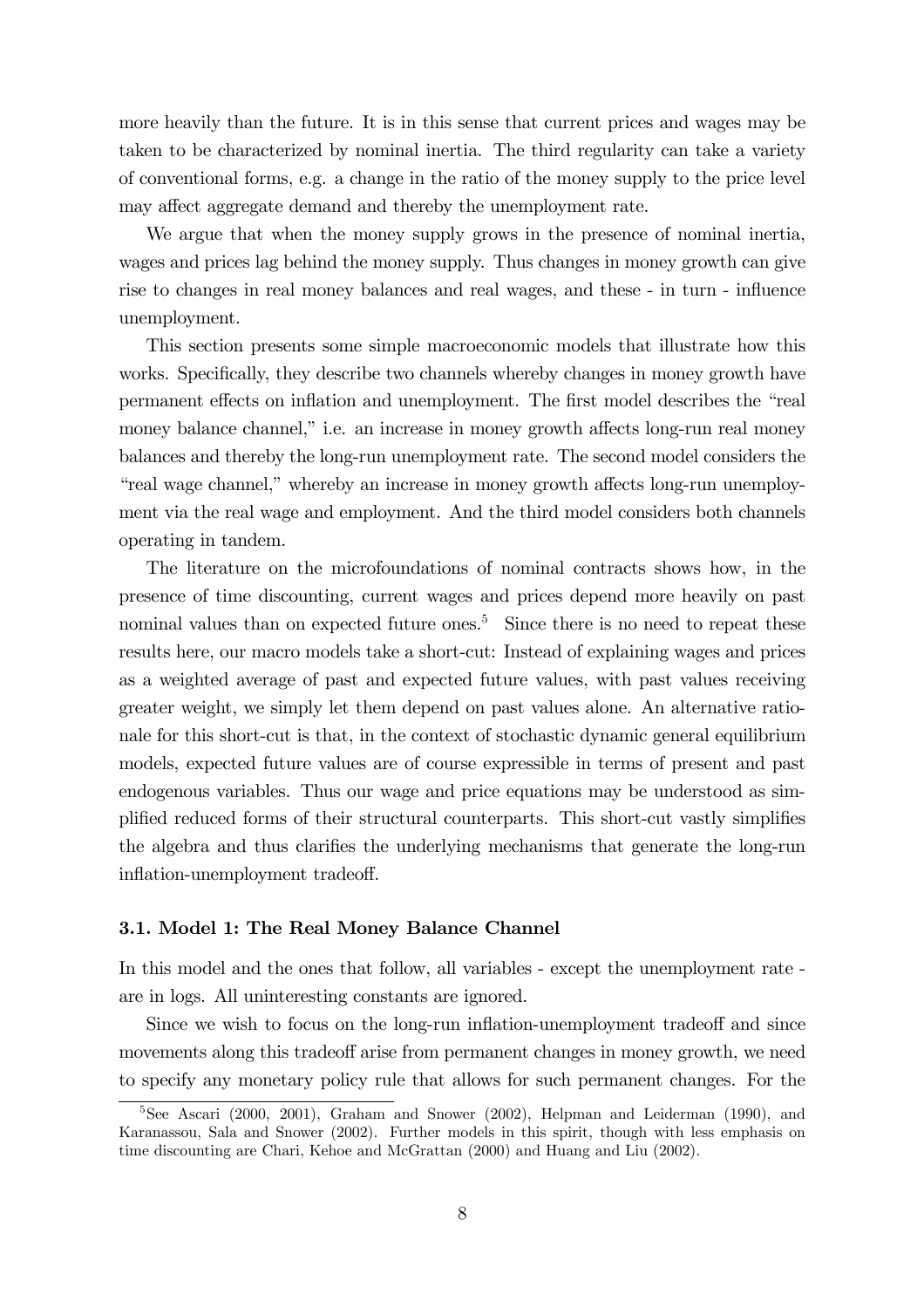more heavily than the future. It is in this sense that current prices and wages may be taken to be characterized by nominal inertia. The third regularity can take a variety of conventional forms, e.g. a change in the ratio of the money supply to the price level may affect aggregate demand and thereby the unemployment rate.

We argue that when the money supply grows in the presence of nominal inertia, wages and prices lag behind the money supply. Thus changes in money growth can give rise to changes in real money balances and real wages, and these - in turn - influence unemployment.

This section presents some simple macroeconomic models that illustrate how this works. Specifically, they describe two channels whereby changes in money growth have permanent effects on inflation and unemployment. The first model describes the "real money balance channel," i.e. an increase in money growth affects long-run real money balances and thereby the long-run unemployment rate. The second model considers the "real wage channel," whereby an increase in money growth affects long-run unemployment via the real wage and employment. And the third model considers both channels operating in tandem.

The literature on the microfoundations of nominal contracts shows how, in the presence of time discounting, current wages and prices depend more heavily on past nominal values than on expected future ones.<sup>5</sup> Since there is no need to repeat these results here, our macro models take a short-cut: Instead of explaining wages and prices as a weighted average of past and expected future values, with past values receiving greater weight, we simply let them depend on past values alone. An alternative rationale for this short-cut is that, in the context of stochastic dynamic general equilibrium models, expected future values are of course expressible in terms of present and past endogenous variables. Thus our wage and price equations may be understood as simplified reduced forms of their structural counterparts. This short-cut vastly simplifies the algebra and thus clarifies the underlying mechanisms that generate the long-run inflation-unemployment tradeoff.

#### 3.1. Model 1: The Real Money Balance Channel

In this model and the ones that follow, all variables - except the unemployment rate are in logs. All uninteresting constants are ignored.

Since we wish to focus on the long-run inflation-unemployment tradeoff and since movements along this tradeoff arise from permanent changes in money growth, we need to specify any monetary policy rule that allows for such permanent changes. For the

<sup>5</sup>See Ascari (2000, 2001), Graham and Snower (2002), Helpman and Leiderman (1990), and Karanassou, Sala and Snower (2002). Further models in this spirit, though with less emphasis on time discounting are Chari, Kehoe and McGrattan (2000) and Huang and Liu (2002).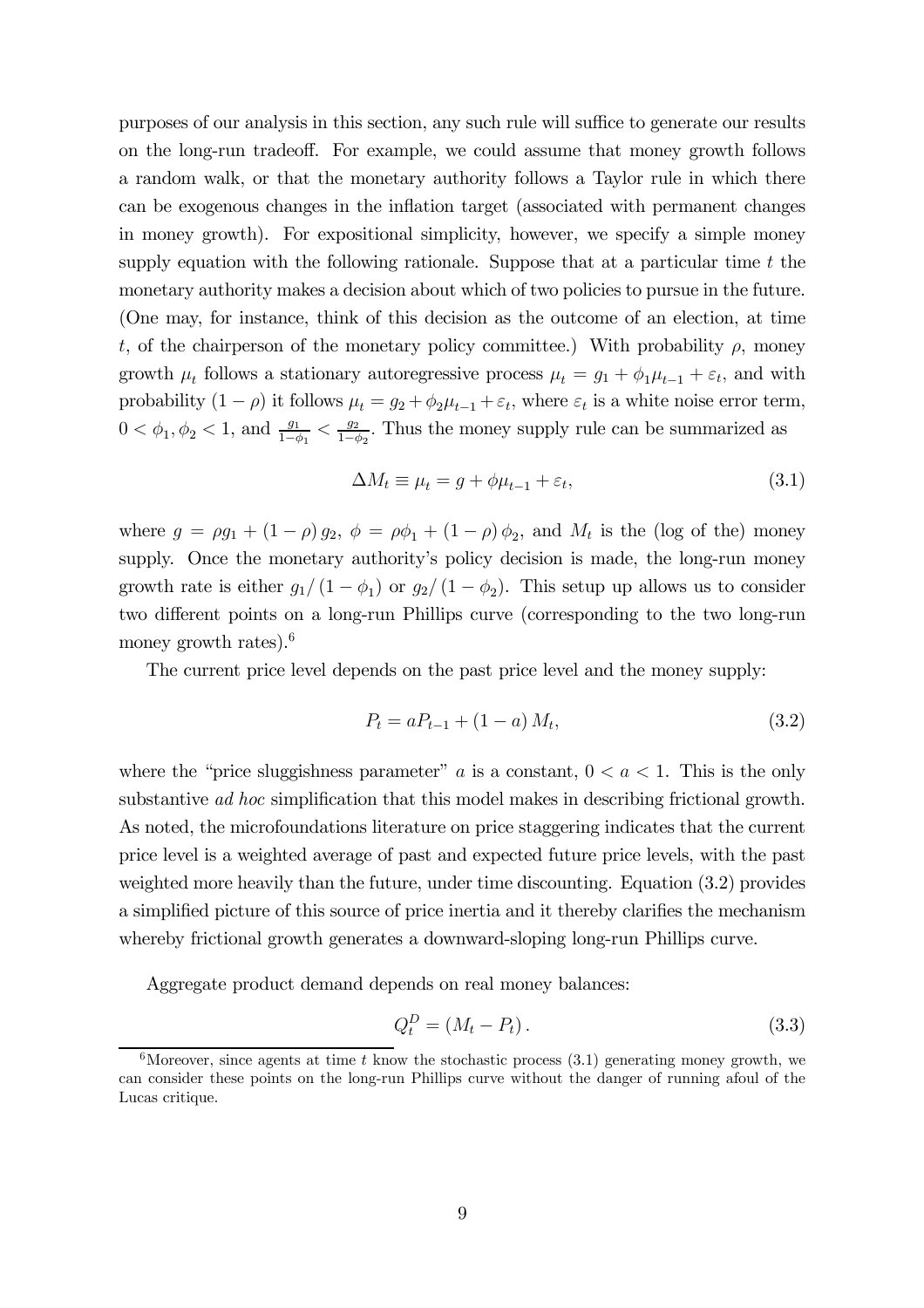purposes of our analysis in this section, any such rule will suffice to generate our results on the long-run tradeoff. For example, we could assume that money growth follows a random walk, or that the monetary authority follows a Taylor rule in which there can be exogenous changes in the inflation target (associated with permanent changes in money growth). For expositional simplicity, however, we specify a simple money supply equation with the following rationale. Suppose that at a particular time  $t$  the monetary authority makes a decision about which of two policies to pursue in the future. (One may, for instance, think of this decision as the outcome of an election, at time t, of the chairperson of the monetary policy committee.) With probability  $\rho$ , money growth  $\mu_t$  follows a stationary autoregressive process  $\mu_t = g_1 + \phi_1 \mu_{t-1} + \varepsilon_t$ , and with probability  $(1 - \rho)$  it follows  $\mu_t = g_2 + \phi_2 \mu_{t-1} + \varepsilon_t$ , where  $\varepsilon_t$  is a white noise error term,  $0 < \phi_1, \phi_2 < 1$ , and  $\frac{g_1}{1-\phi_1} < \frac{g_2}{1-\phi_2}$ . Thus the money supply rule can be summarized as

$$
\Delta M_t \equiv \mu_t = g + \phi \mu_{t-1} + \varepsilon_t,\tag{3.1}
$$

where  $g = \rho g_1 + (1 - \rho) g_2$ ,  $\phi = \rho \phi_1 + (1 - \rho) \phi_2$ , and  $M_t$  is the (log of the) money supply. Once the monetary authority's policy decision is made, the long-run money growth rate is either  $g_1/(1 - \phi_1)$  or  $g_2/(1 - \phi_2)$ . This setup up allows us to consider two different points on a long-run Phillips curve (corresponding to the two long-run money growth rates).<sup>6</sup>

The current price level depends on the past price level and the money supply:

$$
P_t = aP_{t-1} + (1 - a) M_t, \t\t(3.2)
$$

where the "price sluggishness parameter" a is a constant,  $0 < a < 1$ . This is the only substantive *ad hoc* simplification that this model makes in describing frictional growth. As noted, the microfoundations literature on price staggering indicates that the current price level is a weighted average of past and expected future price levels, with the past weighted more heavily than the future, under time discounting. Equation (3.2) provides a simplified picture of this source of price inertia and it thereby clarifies the mechanism whereby frictional growth generates a downward-sloping long-run Phillips curve.

Aggregate product demand depends on real money balances:

$$
Q_t^D = (M_t - P_t). \tag{3.3}
$$

<sup>&</sup>lt;sup>6</sup>Moreover, since agents at time t know the stochastic process  $(3.1)$  generating money growth, we can consider these points on the long-run Phillips curve without the danger of running afoul of the Lucas critique.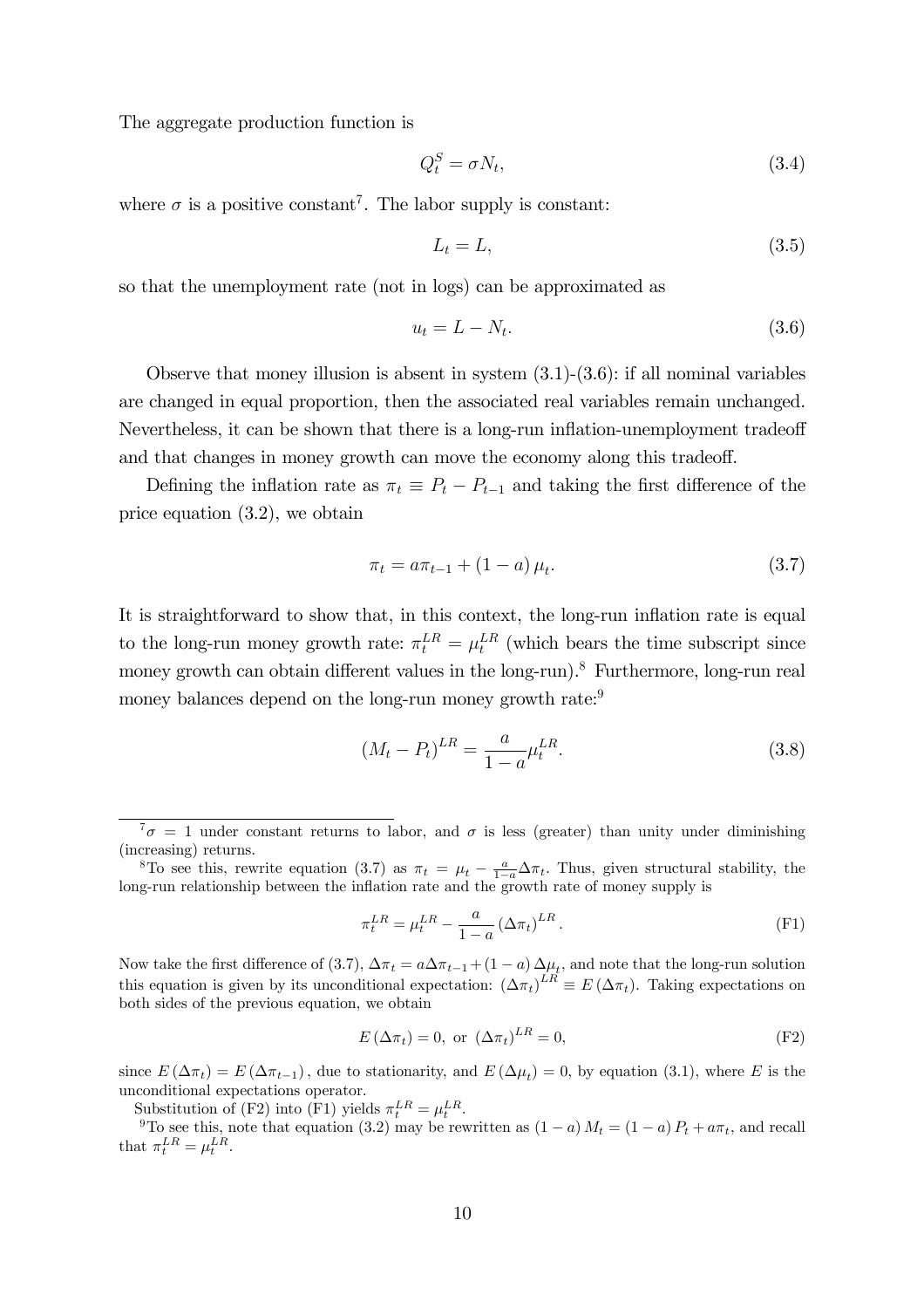The aggregate production function is

$$
Q_t^S = \sigma N_t,\tag{3.4}
$$

where  $\sigma$  is a positive constant<sup>7</sup>. The labor supply is constant:

$$
L_t = L,\t\t(3.5)
$$

so that the unemployment rate (not in logs) can be approximated as

$$
u_t = L - N_t. \tag{3.6}
$$

Observe that money illusion is absent in system  $(3.1)-(3.6)$ : if all nominal variables are changed in equal proportion, then the associated real variables remain unchanged. Nevertheless, it can be shown that there is a long-run inflation-unemployment tradeoff and that changes in money growth can move the economy along this tradeoff.

Defining the inflation rate as  $\pi_t \equiv P_t - P_{t-1}$  and taking the first difference of the price equation (3.2), we obtain

$$
\pi_t = a\pi_{t-1} + (1 - a)\mu_t.
$$
\n(3.7)

It is straightforward to show that, in this context, the long-run inflation rate is equal to the long-run money growth rate:  $\pi_t^{LR} = \mu_t^{LR}$  (which bears the time subscript since money growth can obtain different values in the long-run).<sup>8</sup> Furthermore, long-run real money balances depend on the long-run money growth rate:<sup>9</sup>

$$
(M_t - P_t)^{LR} = \frac{a}{1 - a} \mu_t^{LR}.
$$
\n(3.8)

$$
\pi_t^{LR} = \mu_t^{LR} - \frac{a}{1-a} \left(\Delta \pi_t\right)^{LR}.
$$
\n(F1)

Now take the first difference of (3.7),  $\Delta \pi_t = a \Delta \pi_{t-1} + (1-a) \Delta \mu_t$ , and note that the long-run solution this equation is given by its unconditional expectation:  $(\Delta \pi_t)^{LR} \equiv E(\Delta \pi_t)$ . Taking expectations on both sides of the previous equation, we obtain

$$
E\left(\Delta\pi_t\right) = 0, \text{ or } \left(\Delta\pi_t\right)^{LR} = 0,
$$
\n(F2)

since  $E(\Delta \pi_t) = E(\Delta \pi_{t-1})$ , due to stationarity, and  $E(\Delta \mu_t) = 0$ , by equation (3.1), where E is the unconditional expectations operator.

Substitution of (F2) into (F1) yields  $\pi_t^{LR} = \mu_t^{LR}$ 

<sup>9</sup>To see this, note that equation (3.2) may be rewritten as  $(1 - a) M_t = (1 - a) P_t + a \pi_t$ , and recall that  $\pi_t^{LR} = \mu_t^{LR}$ .

 $7\sigma = 1$  under constant returns to labor, and  $\sigma$  is less (greater) than unity under diminishing (increasing) returns.

<sup>&</sup>lt;sup>8</sup>To see this, rewrite equation (3.7) as  $\pi_t = \mu_t - \frac{a}{1-a}\Delta \pi_t$ . Thus, given structural stability, the long-run relationship between the inflation rate and the growth rate of money supply is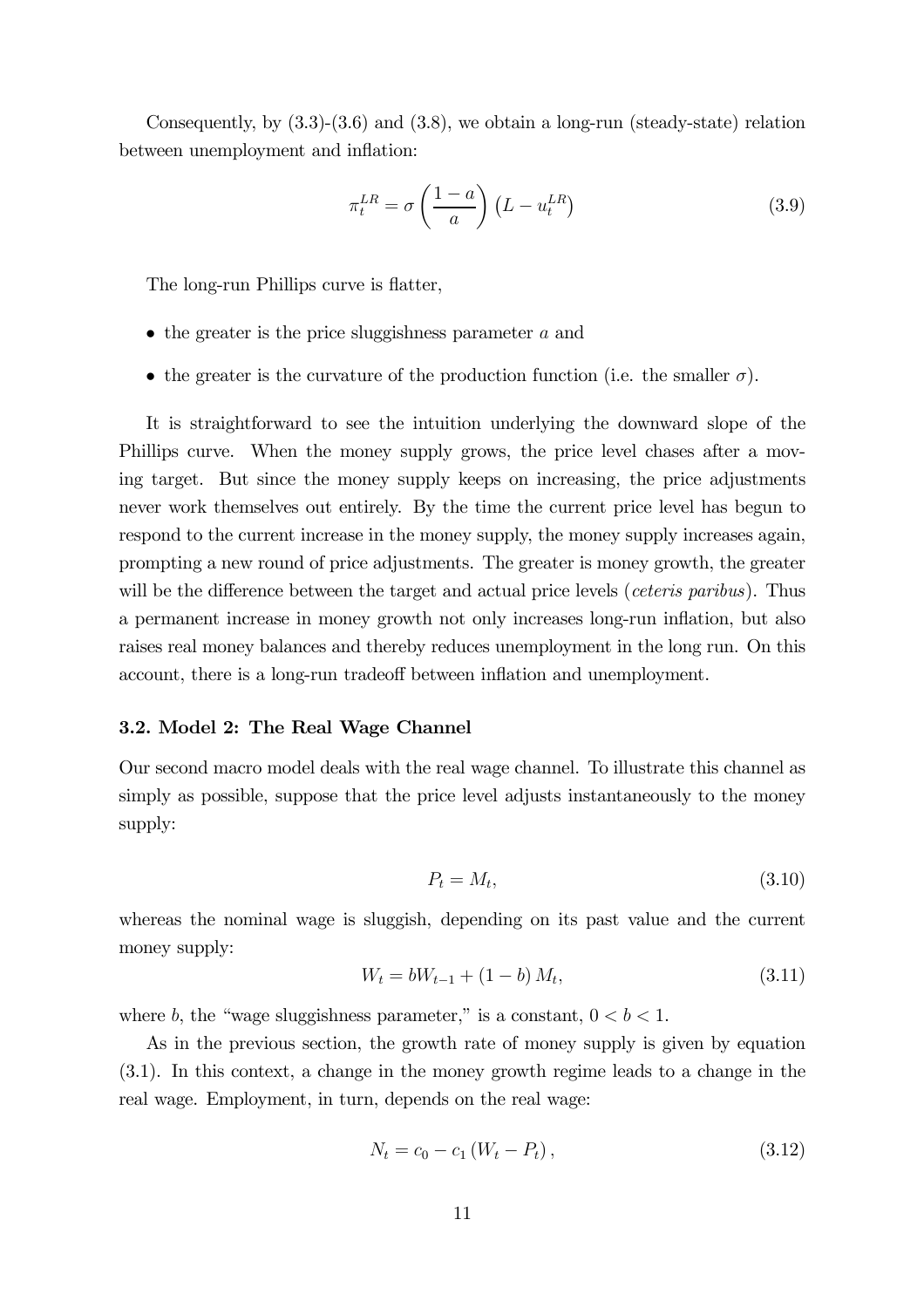Consequently, by  $(3.3)-(3.6)$  and  $(3.8)$ , we obtain a long-run (steady-state) relation between unemployment and inflation:

$$
\pi_t^{LR} = \sigma \left(\frac{1-a}{a}\right) \left(L - u_t^{LR}\right) \tag{3.9}
$$

The long-run Phillips curve is flatter,

- $\bullet$  the greater is the price sluggishness parameter a and
- the greater is the curvature of the production function (i.e. the smaller  $\sigma$ ).

It is straightforward to see the intuition underlying the downward slope of the Phillips curve. When the money supply grows, the price level chases after a moving target. But since the money supply keeps on increasing, the price adjustments never work themselves out entirely. By the time the current price level has begun to respond to the current increase in the money supply, the money supply increases again, prompting a new round of price adjustments. The greater is money growth, the greater will be the difference between the target and actual price levels (*ceteris paribus*). Thus a permanent increase in money growth not only increases long-run inflation, but also raises real money balances and thereby reduces unemployment in the long run. On this account, there is a long-run tradeoff between inflation and unemployment.

#### 3.2. Model 2: The Real Wage Channel

Our second macro model deals with the real wage channel. To illustrate this channel as simply as possible, suppose that the price level adjusts instantaneously to the money supply:

$$
P_t = M_t,\tag{3.10}
$$

whereas the nominal wage is sluggish, depending on its past value and the current money supply:

$$
W_t = bW_{t-1} + (1 - b) M_t, \tag{3.11}
$$

where b, the "wage sluggishness parameter," is a constant,  $0 < b < 1$ .

As in the previous section, the growth rate of money supply is given by equation (3.1). In this context, a change in the money growth regime leads to a change in the real wage. Employment, in turn, depends on the real wage:

$$
N_t = c_0 - c_1 \left( W_t - P_t \right), \tag{3.12}
$$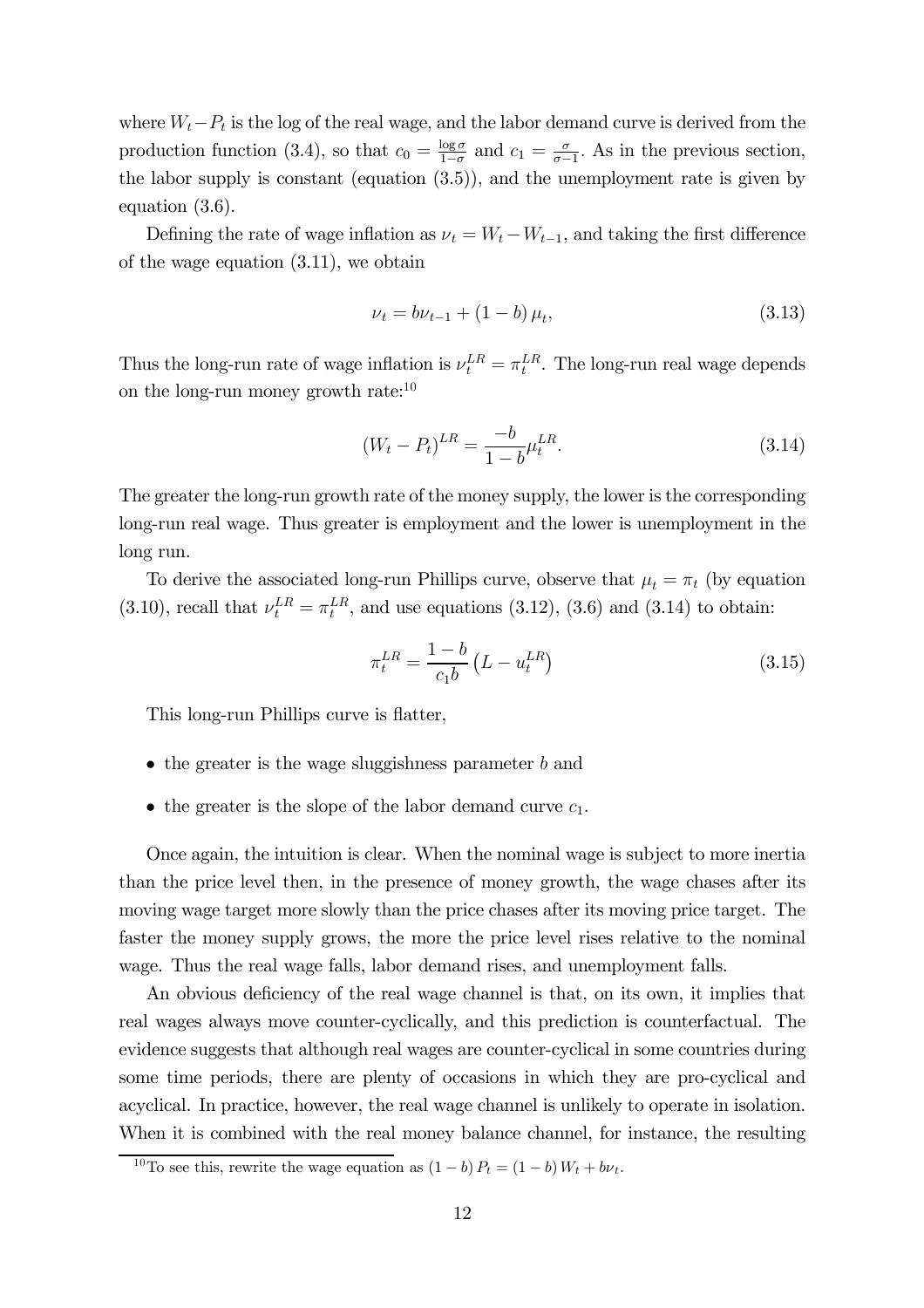where  $W_t-P_t$  is the log of the real wage, and the labor demand curve is derived from the production function (3.4), so that  $c_0 = \frac{\log \sigma}{1-\sigma}$  and  $c_1 = \frac{\sigma}{\sigma-1}$ . As in the previous section, the labor supply is constant (equation (3.5)), and the unemployment rate is given by equation (3.6).

Defining the rate of wage inflation as  $\nu_t = W_t - W_{t-1}$ , and taking the first difference of the wage equation (3.11), we obtain

$$
\nu_t = b\nu_{t-1} + (1 - b)\,\mu_t,\tag{3.13}
$$

Thus the long-run rate of wage inflation is  $\nu_t^{LR} = \pi_t^{LR}$ . The long-run real wage depends on the long-run money growth rate: $10$ 

$$
(W_t - P_t)^{LR} = \frac{-b}{1 - b} \mu_t^{LR}.
$$
\n(3.14)

The greater the long-run growth rate of the money supply, the lower is the corresponding long-run real wage. Thus greater is employment and the lower is unemployment in the long run.

To derive the associated long-run Phillips curve, observe that  $\mu_t = \pi_t$  (by equation (3.10), recall that  $\nu_t^{LR} = \pi_t^{LR}$ , and use equations (3.12), (3.6) and (3.14) to obtain:

$$
\pi_t^{LR} = \frac{1 - b}{c_1 b} \left( L - u_t^{LR} \right) \tag{3.15}
$$

This long-run Phillips curve is flatter,

- $\bullet$  the greater is the wage sluggishness parameter b and
- the greater is the slope of the labor demand curve  $c_1$ .

Once again, the intuition is clear. When the nominal wage is subject to more inertia than the price level then, in the presence of money growth, the wage chases after its moving wage target more slowly than the price chases after its moving price target. The faster the money supply grows, the more the price level rises relative to the nominal wage. Thus the real wage falls, labor demand rises, and unemployment falls.

An obvious deficiency of the real wage channel is that, on its own, it implies that real wages always move counter-cyclically, and this prediction is counterfactual. The evidence suggests that although real wages are counter-cyclical in some countries during some time periods, there are plenty of occasions in which they are pro-cyclical and acyclical. In practice, however, the real wage channel is unlikely to operate in isolation. When it is combined with the real money balance channel, for instance, the resulting

<sup>&</sup>lt;sup>10</sup>To see this, rewrite the wage equation as  $(1 - b) P_t = (1 - b) W_t + b \nu_t$ .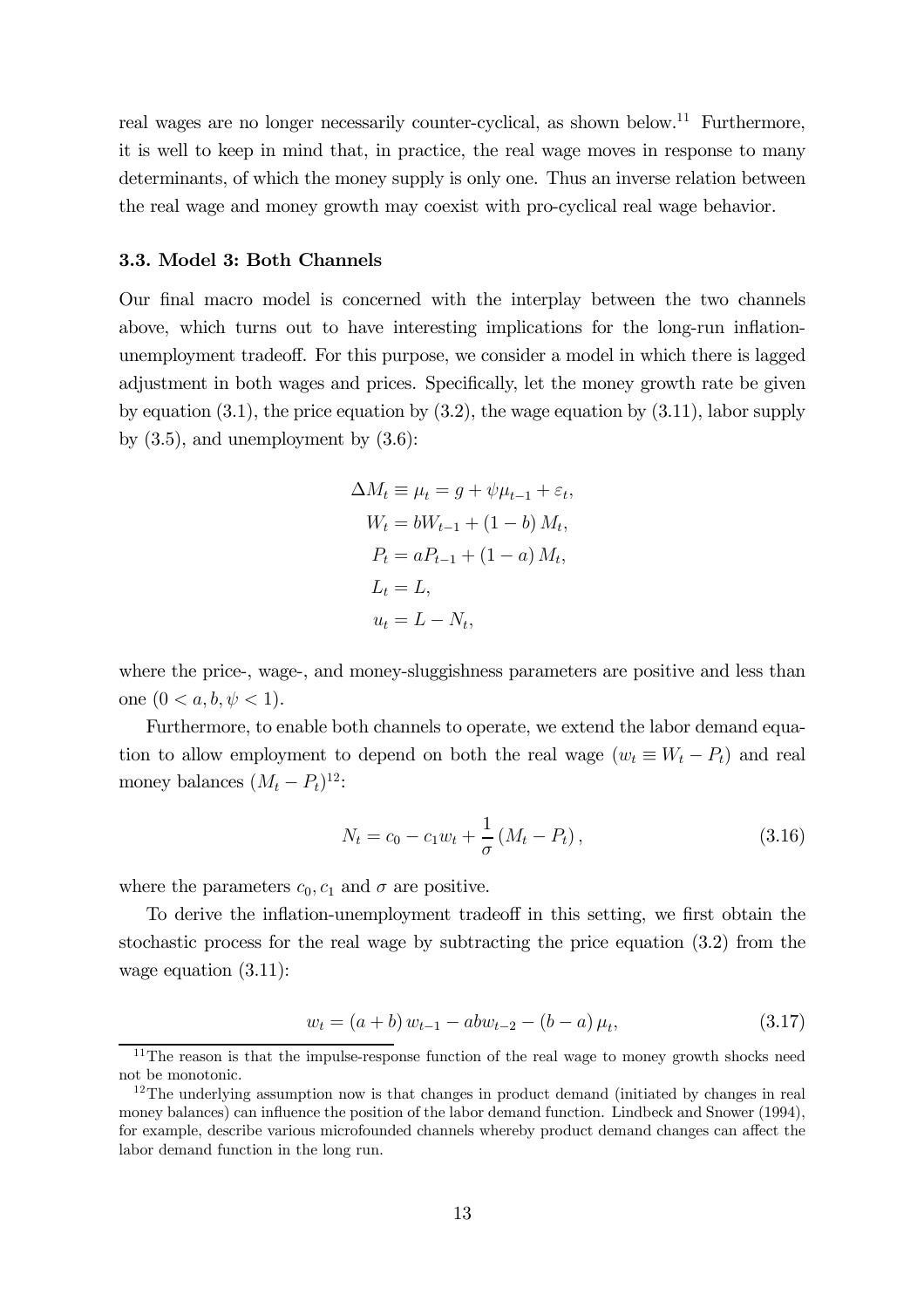real wages are no longer necessarily counter-cyclical, as shown below.11 Furthermore, it is well to keep in mind that, in practice, the real wage moves in response to many determinants, of which the money supply is only one. Thus an inverse relation between the real wage and money growth may coexist with pro-cyclical real wage behavior.

#### 3.3. Model 3: Both Channels

Our final macro model is concerned with the interplay between the two channels above, which turns out to have interesting implications for the long-run inflationunemployment tradeoff. For this purpose, we consider a model in which there is lagged adjustment in both wages and prices. Specifically, let the money growth rate be given by equation  $(3.1)$ , the price equation by  $(3.2)$ , the wage equation by  $(3.11)$ , labor supply by  $(3.5)$ , and unemployment by  $(3.6)$ :

$$
\Delta M_t \equiv \mu_t = g + \psi \mu_{t-1} + \varepsilon_t,
$$
  
\n
$$
W_t = bW_{t-1} + (1 - b) M_t,
$$
  
\n
$$
P_t = aP_{t-1} + (1 - a) M_t,
$$
  
\n
$$
L_t = L,
$$
  
\n
$$
u_t = L - N_t,
$$

where the price-, wage-, and money-sluggishness parameters are positive and less than one  $(0 < a, b, \psi < 1)$ .

Furthermore, to enable both channels to operate, we extend the labor demand equation to allow employment to depend on both the real wage  $(w_t \equiv W_t - P_t)$  and real money balances  $(M_t - P_t)^{12}$ :

$$
N_t = c_0 - c_1 w_t + \frac{1}{\sigma} (M_t - P_t), \qquad (3.16)
$$

where the parameters  $c_0, c_1$  and  $\sigma$  are positive.

To derive the inflation-unemployment tradeoff in this setting, we first obtain the stochastic process for the real wage by subtracting the price equation (3.2) from the wage equation (3.11):

$$
w_t = (a+b) w_{t-1} - abw_{t-2} - (b-a) \mu_t, \tag{3.17}
$$

 $11$ The reason is that the impulse-response function of the real wage to money growth shocks need not be monotonic.

 $12$ The underlying assumption now is that changes in product demand (initiated by changes in real money balances) can influence the position of the labor demand function. Lindbeck and Snower (1994), for example, describe various microfounded channels whereby product demand changes can affect the labor demand function in the long run.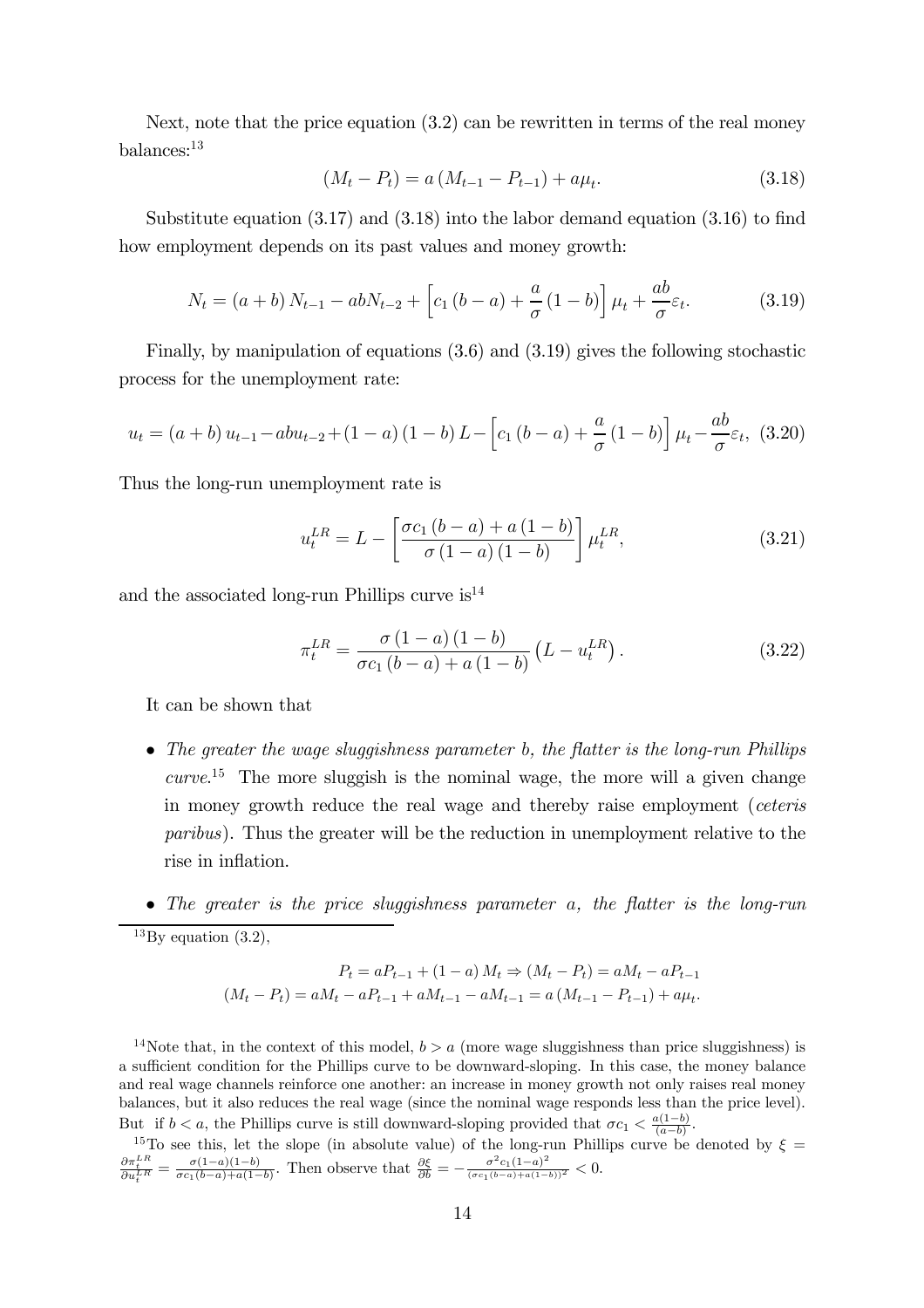Next, note that the price equation (3.2) can be rewritten in terms of the real money balances:13

$$
(M_t - P_t) = a (M_{t-1} - P_{t-1}) + a\mu_t.
$$
\n(3.18)

Substitute equation (3.17) and (3.18) into the labor demand equation (3.16) to find how employment depends on its past values and money growth:

$$
N_t = (a+b) N_{t-1} - abN_{t-2} + \left[c_1 (b-a) + \frac{a}{\sigma} (1-b)\right] \mu_t + \frac{ab}{\sigma} \varepsilon_t.
$$
 (3.19)

Finally, by manipulation of equations (3.6) and (3.19) gives the following stochastic process for the unemployment rate:

$$
u_t = (a+b) u_{t-1} - abu_{t-2} + (1-a) (1-b) L - \left[c_1 (b-a) + \frac{a}{\sigma} (1-b)\right] \mu_t - \frac{ab}{\sigma} \varepsilon_t, (3.20)
$$

Thus the long-run unemployment rate is

$$
u_t^{LR} = L - \left[ \frac{\sigma c_1 (b - a) + a (1 - b)}{\sigma (1 - a) (1 - b)} \right] \mu_t^{LR},
$$
\n(3.21)

and the associated long-run Phillips curve  $is^{14}$ 

$$
\pi_t^{LR} = \frac{\sigma (1-a) (1-b)}{\sigma c_1 (b-a) + a (1-b)} (L - u_t^{LR}).
$$
\n(3.22)

It can be shown that

- The greater the wage sluggishness parameter b, the flatter is the long-run Phillips  $curve<sup>15</sup>$  The more sluggish is the nominal wage, the more will a given change in money growth reduce the real wage and thereby raise employment (ceteris paribus). Thus the greater will be the reduction in unemployment relative to the rise in inflation.
- The greater is the price sluggishness parameter  $a$ , the flatter is the long-run  $^{13}$ By equation  $(3.2)$ ,

$$
P_t = aP_{t-1} + (1 - a) M_t \Rightarrow (M_t - P_t) = aM_t - aP_{t-1}
$$

$$
(M_t - P_t) = aM_t - aP_{t-1} + aM_{t-1} - aM_{t-1} = a(M_{t-1} - P_{t-1}) + a\mu_t.
$$

<sup>14</sup>Note that, in the context of this model,  $b > a$  (more wage sluggishness than price sluggishness) is a sufficient condition for the Phillips curve to be downward-sloping. In this case, the money balance and real wage channels reinforce one another: an increase in money growth not only raises real money balances, but it also reduces the real wage (since the nominal wage responds less than the price level). But if  $b < a$ , the Phillips curve is still downward-sloping provided that  $\sigma c_1 < \frac{a(1-b)}{(a-b)}$ .

<sup>15</sup>To see this, let the slope (in absolute value) of the long-run Phillips curve be denoted by  $\xi =$  $\frac{\partial \pi_k^{LR}}{\partial u_l^{LR}} = \frac{\sigma(1-a)(1-b)}{\sigma c_1(b-a)+a(1-b)}$ . Then observe that  $\frac{\partial \xi}{\partial b} = -\frac{\sigma^2 c_1(1-a)^2}{(\sigma c_1(b-a)+a(1-b))^2} < 0$ .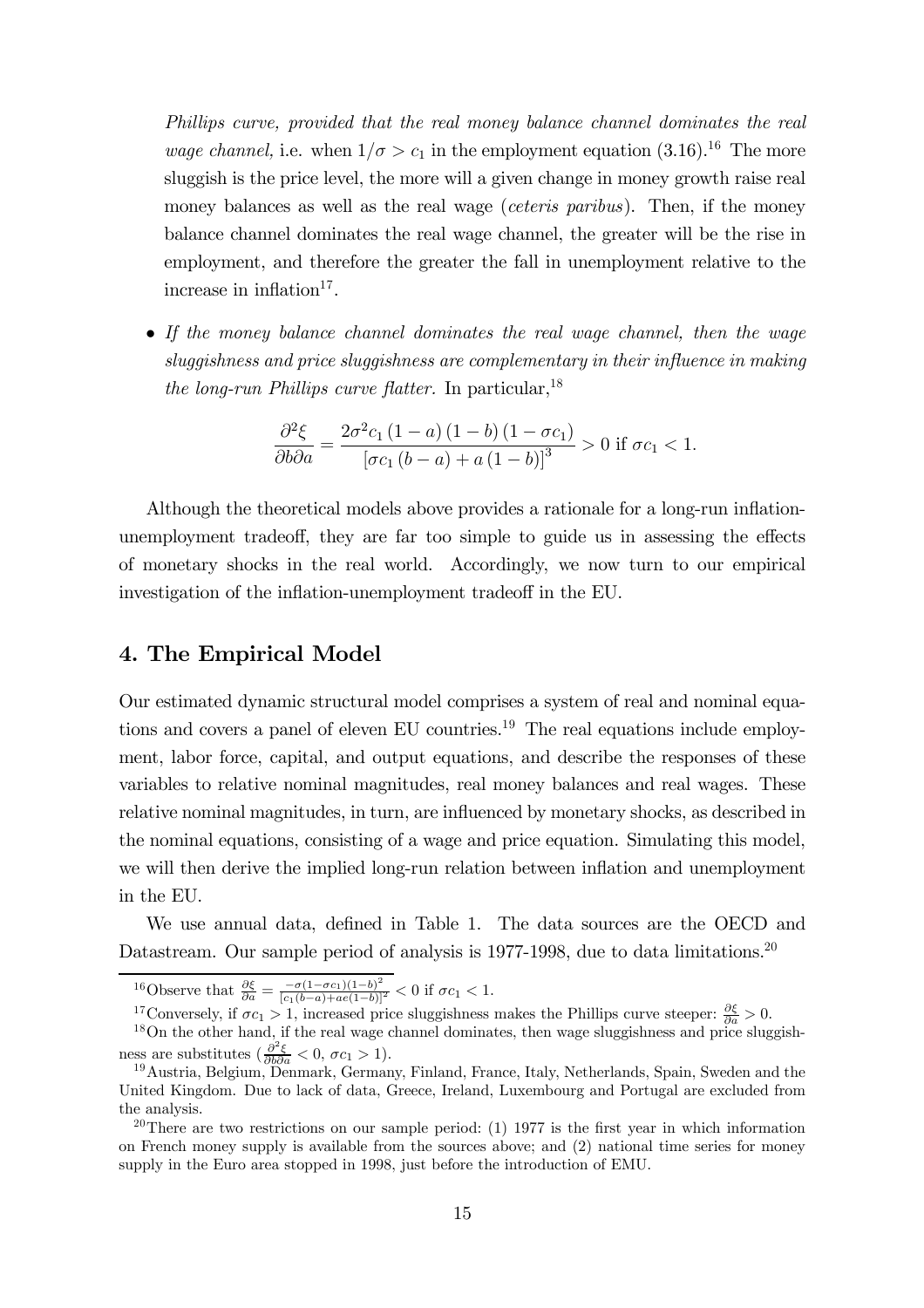Phillips curve, provided that the real money balance channel dominates the real *wage channel*, i.e. when  $1/\sigma > c_1$  in the employment equation (3.16).<sup>16</sup> The more sluggish is the price level, the more will a given change in money growth raise real money balances as well as the real wage *(ceteris paribus)*. Then, if the money balance channel dominates the real wage channel, the greater will be the rise in employment, and therefore the greater the fall in unemployment relative to the increase in inflation $17$ .

• If the money balance channel dominates the real wage channel, then the wage sluggishness and price sluggishness are complementary in their influence in making the long-run Phillips curve flatter. In particular,  $^{18}$ 

$$
\frac{\partial^2 \xi}{\partial b \partial a} = \frac{2\sigma^2 c_1 (1-a) (1-b) (1-\sigma c_1)}{\left[\sigma c_1 (b-a) + a (1-b)\right]^3} > 0 \text{ if } \sigma c_1 < 1.
$$

Although the theoretical models above provides a rationale for a long-run inflationunemployment tradeoff, they are far too simple to guide us in assessing the effects of monetary shocks in the real world. Accordingly, we now turn to our empirical investigation of the inflation-unemployment tradeoff in the EU.

#### 4. The Empirical Model

Our estimated dynamic structural model comprises a system of real and nominal equations and covers a panel of eleven EU countries.<sup>19</sup> The real equations include employment, labor force, capital, and output equations, and describe the responses of these variables to relative nominal magnitudes, real money balances and real wages. These relative nominal magnitudes, in turn, are influenced by monetary shocks, as described in the nominal equations, consisting of a wage and price equation. Simulating this model, we will then derive the implied long-run relation between inflation and unemployment in the EU.

We use annual data, defined in Table 1. The data sources are the OECD and Datastream. Our sample period of analysis is 1977-1998, due to data limitations.<sup>20</sup>

<sup>16</sup>Observe that  $\frac{\partial \xi}{\partial a} = \frac{-\sigma(1-\sigma c_1)(1-b)^2}{[c_1(b-a)+ae(1-b)]^2}$  < 0 if  $\sigma c_1$  < 1.

<sup>17</sup>Conversely, if  $\sigma c_1 > 1$ , increased price sluggishness makes the Phillips curve steeper:  $\frac{\partial \xi}{\partial a} > 0$ .<br><sup>18</sup>On the other hand, if the real wage channel dominates, then wage sluggishness and price sluggish-

<sup>20</sup>There are two restrictions on our sample period: (1) 1977 is the first year in which information on French money supply is available from the sources above; and (2) national time series for money supply in the Euro area stopped in 1998, just before the introduction of EMU.

ness are substitutes  $\left(\frac{\partial^2 \xi}{\partial b \partial a} < 0, \sigma c_1 > 1\right)$ .

<sup>&</sup>lt;sup>19</sup> Austria, Belgium, Denmark, Germany, Finland, France, Italy, Netherlands, Spain, Sweden and the United Kingdom. Due to lack of data, Greece, Ireland, Luxembourg and Portugal are excluded from the analysis.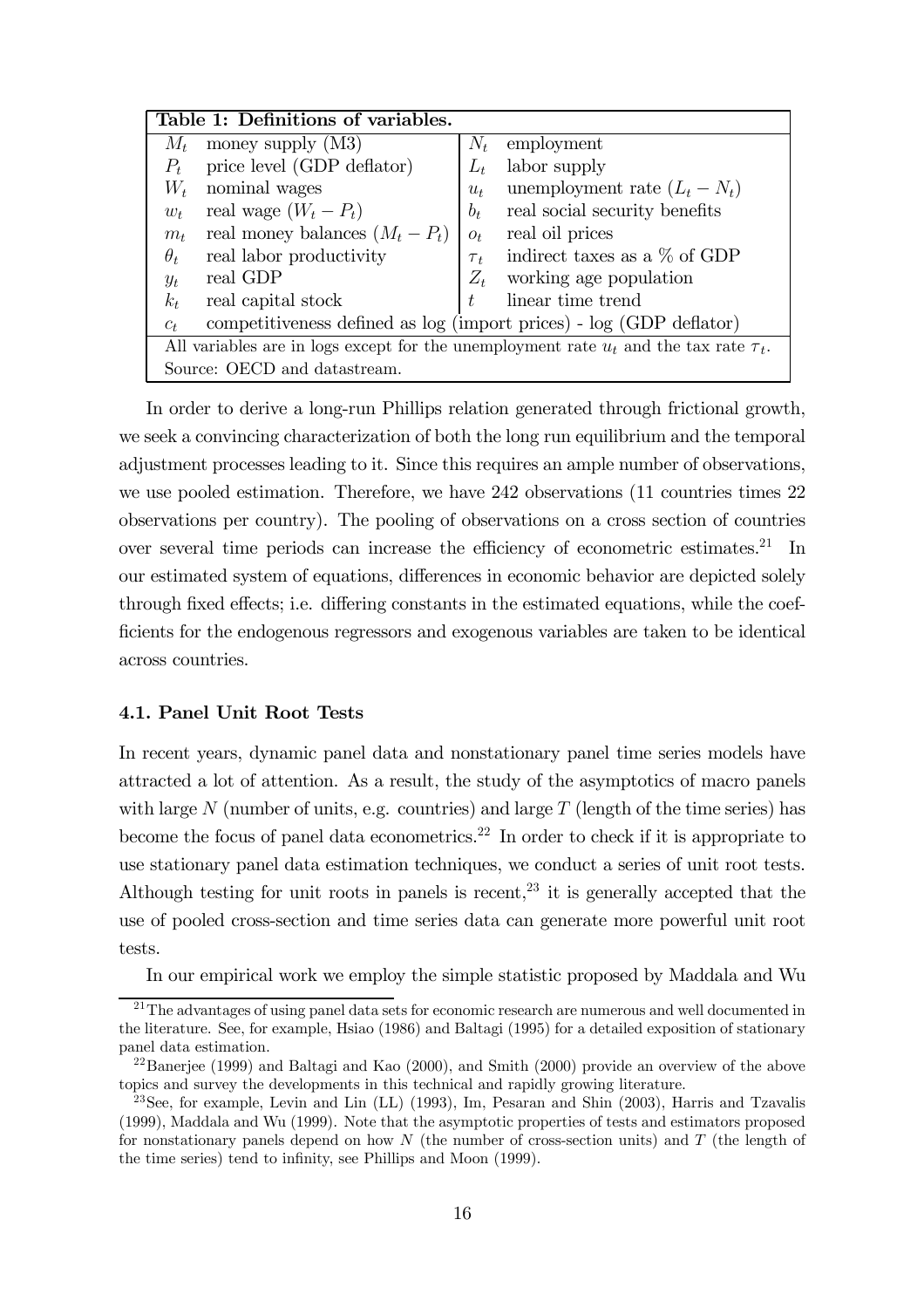|                                                                                              | Table 1: Definitions of variables.                                  |          |                                 |  |  |  |  |
|----------------------------------------------------------------------------------------------|---------------------------------------------------------------------|----------|---------------------------------|--|--|--|--|
| $M_t$                                                                                        | money supply $(M3)$                                                 |          | $N_t$ employment                |  |  |  |  |
| $P_t$                                                                                        | price level (GDP deflator)                                          | $L_t$    | labor supply                    |  |  |  |  |
| $W_t$                                                                                        | nominal wages                                                       | $u_t$    | unemployment rate $(L_t - N_t)$ |  |  |  |  |
| $w_t$                                                                                        | real wage $(W_t - P_t)$                                             | $b_t$    | real social security benefits   |  |  |  |  |
| $m_t$                                                                                        | real money balances $(M_t - P_t)$                                   | $O_t$    | real oil prices                 |  |  |  |  |
| $\theta_t$                                                                                   | real labor productivity                                             | $\tau_t$ | indirect taxes as a $\%$ of GDP |  |  |  |  |
| $y_t$                                                                                        | real GDP                                                            | $Z_t$    | working age population          |  |  |  |  |
| $k_t$                                                                                        | real capital stock                                                  | $t_{i}$  | linear time trend               |  |  |  |  |
| $c_{t}$                                                                                      | competitiveness defined as log (import prices) - log (GDP deflator) |          |                                 |  |  |  |  |
| All variables are in logs except for the unemployment rate $u_t$ and the tax rate $\tau_t$ . |                                                                     |          |                                 |  |  |  |  |
|                                                                                              | Source: OECD and datastream.                                        |          |                                 |  |  |  |  |

In order to derive a long-run Phillips relation generated through frictional growth, we seek a convincing characterization of both the long run equilibrium and the temporal adjustment processes leading to it. Since this requires an ample number of observations, we use pooled estimation. Therefore, we have 242 observations (11 countries times 22 observations per country). The pooling of observations on a cross section of countries over several time periods can increase the efficiency of econometric estimates.<sup>21</sup> In our estimated system of equations, differences in economic behavior are depicted solely through fixed effects; i.e. differing constants in the estimated equations, while the coefficients for the endogenous regressors and exogenous variables are taken to be identical across countries.

#### 4.1. Panel Unit Root Tests

In recent years, dynamic panel data and nonstationary panel time series models have attracted a lot of attention. As a result, the study of the asymptotics of macro panels with large  $N$  (number of units, e.g. countries) and large  $T$  (length of the time series) has become the focus of panel data econometrics.<sup>22</sup> In order to check if it is appropriate to use stationary panel data estimation techniques, we conduct a series of unit root tests. Although testing for unit roots in panels is recent,  $2<sup>3</sup>$  it is generally accepted that the use of pooled cross-section and time series data can generate more powerful unit root tests.

In our empirical work we employ the simple statistic proposed by Maddala and Wu

 $21$ The advantages of using panel data sets for economic research are numerous and well documented in the literature. See, for example, Hsiao (1986) and Baltagi (1995) for a detailed exposition of stationary panel data estimation.

 $^{22}$ Baneriee (1999) and Baltagi and Kao (2000), and Smith (2000) provide an overview of the above topics and survey the developments in this technical and rapidly growing literature.

<sup>&</sup>lt;sup>23</sup>See, for example, Levin and Lin (LL) (1993), Im, Pesaran and Shin (2003), Harris and Tzavalis (1999), Maddala and Wu (1999). Note that the asymptotic properties of tests and estimators proposed for nonstationary panels depend on how  $N$  (the number of cross-section units) and  $T$  (the length of the time series) tend to infinity, see Phillips and Moon (1999).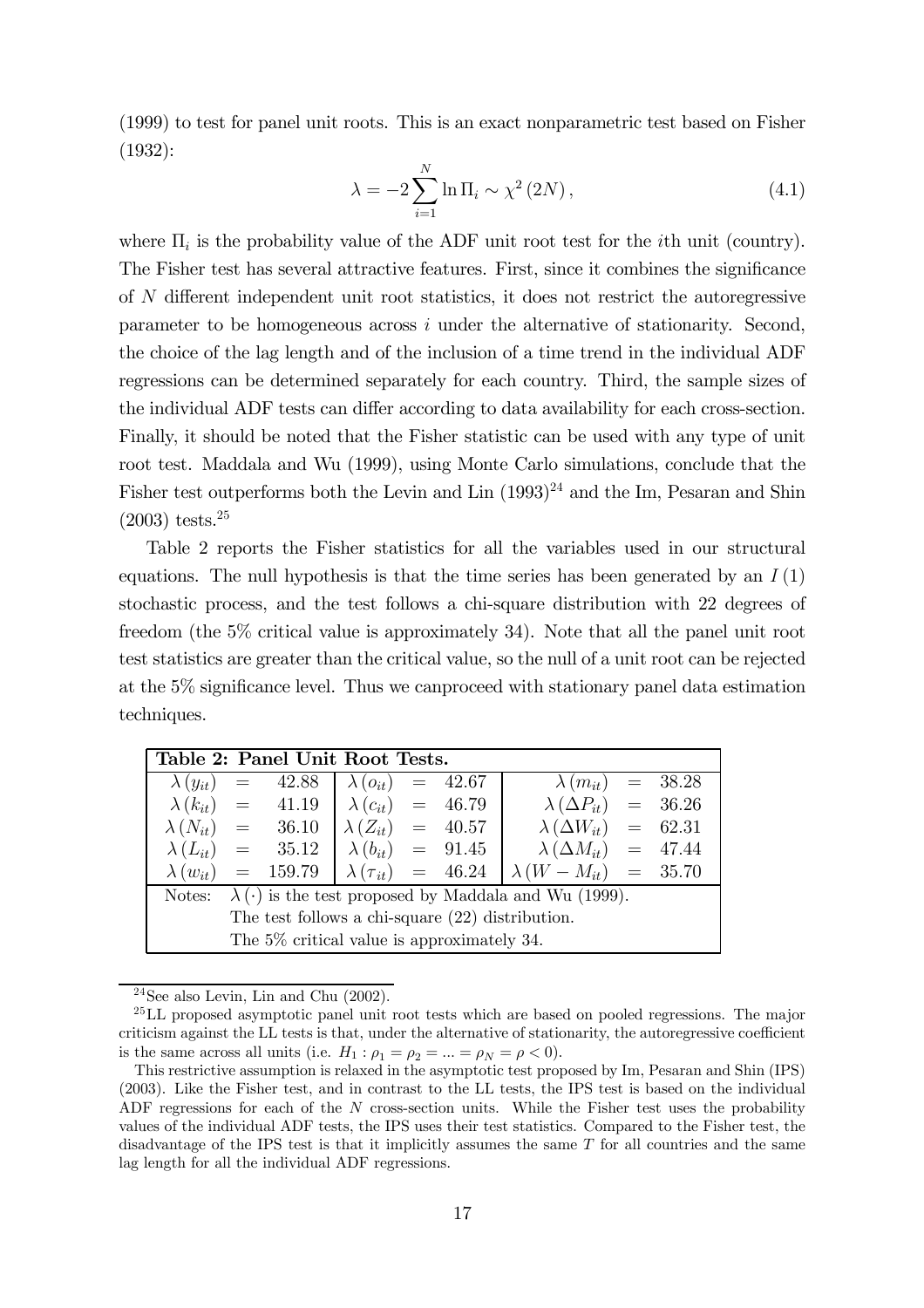(1999) to test for panel unit roots. This is an exact nonparametric test based on Fisher (1932):

$$
\lambda = -2 \sum_{i=1}^{N} \ln \Pi_i \sim \chi^2 \left( 2N \right),\tag{4.1}
$$

where  $\Pi_i$  is the probability value of the ADF unit root test for the *i*th unit (country). The Fisher test has several attractive features. First, since it combines the significance of N different independent unit root statistics, it does not restrict the autoregressive parameter to be homogeneous across i under the alternative of stationarity. Second, the choice of the lag length and of the inclusion of a time trend in the individual ADF regressions can be determined separately for each country. Third, the sample sizes of the individual ADF tests can differ according to data availability for each cross-section. Finally, it should be noted that the Fisher statistic can be used with any type of unit root test. Maddala and Wu (1999), using Monte Carlo simulations, conclude that the Fisher test outperforms both the Levin and Lin  $(1993)^{24}$  and the Im, Pesaran and Shin  $(2003)$  tests.<sup>25</sup>

Table 2 reports the Fisher statistics for all the variables used in our structural equations. The null hypothesis is that the time series has been generated by an  $I(1)$ stochastic process, and the test follows a chi-square distribution with 22 degrees of freedom (the 5% critical value is approximately 34). Note that all the panel unit root test statistics are greater than the critical value, so the null of a unit root can be rejected at the 5% significance level. Thus we canproceed with stationary panel data estimation techniques.

| Table 2: Panel Unit Root Tests.                    |                                                                        |                                                          |                               |  |  |                                                |  |  |
|----------------------------------------------------|------------------------------------------------------------------------|----------------------------------------------------------|-------------------------------|--|--|------------------------------------------------|--|--|
|                                                    |                                                                        | $\lambda (y_{it}) = 42.88$                               | $\lambda(o_{it}) = 42.67$     |  |  | $= 38.28$<br>$\lambda(m_{it})$                 |  |  |
|                                                    |                                                                        | $\lambda (k_{it}) = 41.19 \mid \lambda (c_{it}) = 46.79$ |                               |  |  | $\lambda (\Delta P_{it})$ = 36.26              |  |  |
|                                                    |                                                                        | $\lambda (N_{it}) = 36.10$                               | $\lambda (Z_{it}) = 40.57$    |  |  | $\lambda (\Delta W_{it}) = 62.31$              |  |  |
|                                                    |                                                                        | $\lambda(L_{it}) = 35.12 \mid \lambda(b_{it}) = 91.45$   |                               |  |  | $\lambda \left( \Delta M_{it} \right) = 47.44$ |  |  |
|                                                    |                                                                        | $\lambda(w_{it}) = 159.79$                               | $\lambda (\tau_{it}) = 46.24$ |  |  | $\lambda (W - M_{it}) = 35.70$                 |  |  |
|                                                    | Notes: $\lambda(\cdot)$ is the test proposed by Maddala and Wu (1999). |                                                          |                               |  |  |                                                |  |  |
| The test follows a chi-square $(22)$ distribution. |                                                                        |                                                          |                               |  |  |                                                |  |  |
|                                                    | The 5% critical value is approximately 34.                             |                                                          |                               |  |  |                                                |  |  |

 $24$ See also Levin, Lin and Chu  $(2002)$ .

<sup>&</sup>lt;sup>25</sup>LL proposed asymptotic panel unit root tests which are based on pooled regressions. The major criticism against the LL tests is that, under the alternative of stationarity, the autoregressive coefficient is the same across all units (i.e.  $H_1: \rho_1 = \rho_2 = ... = \rho_N = \rho < 0$ ).

This restrictive assumption is relaxed in the asymptotic test proposed by Im, Pesaran and Shin (IPS) (2003). Like the Fisher test, and in contrast to the LL tests, the IPS test is based on the individual ADF regressions for each of the N cross-section units. While the Fisher test uses the probability values of the individual ADF tests, the IPS uses their test statistics. Compared to the Fisher test, the disadvantage of the IPS test is that it implicitly assumes the same  $T$  for all countries and the same lag length for all the individual ADF regressions.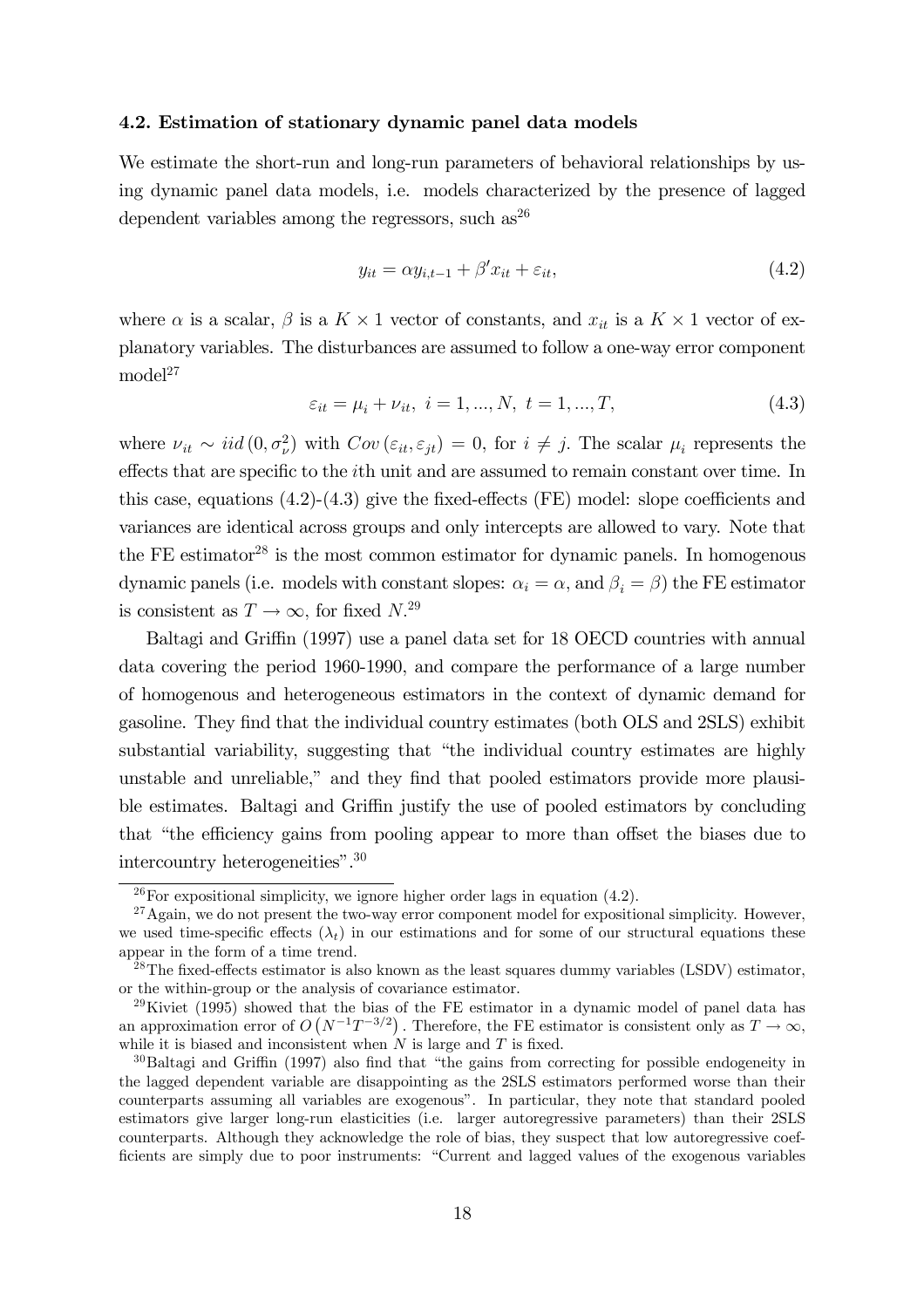#### 4.2. Estimation of stationary dynamic panel data models

We estimate the short-run and long-run parameters of behavioral relationships by using dynamic panel data models, i.e. models characterized by the presence of lagged dependent variables among the regressors, such  $as^{26}$ 

$$
y_{it} = \alpha y_{i,t-1} + \beta' x_{it} + \varepsilon_{it},\tag{4.2}
$$

where  $\alpha$  is a scalar,  $\beta$  is a  $K \times 1$  vector of constants, and  $x_{it}$  is a  $K \times 1$  vector of explanatory variables. The disturbances are assumed to follow a one-way error component  $\text{model}^{27}$ 

$$
\varepsilon_{it} = \mu_i + \nu_{it}, \ i = 1, ..., N, \ t = 1, ..., T,
$$
\n(4.3)

where  $\nu_{it} \sim iid (0, \sigma_{\nu}^2)$  with  $Cov (\varepsilon_{it}, \varepsilon_{jt})=0$ , for  $i \neq j$ . The scalar  $\mu_i$  represents the effects that are specific to the ith unit and are assumed to remain constant over time. In this case, equations (4.2)-(4.3) give the fixed-effects (FE) model: slope coefficients and variances are identical across groups and only intercepts are allowed to vary. Note that the FE estimator<sup>28</sup> is the most common estimator for dynamic panels. In homogenous dynamic panels (i.e. models with constant slopes:  $\alpha_i = \alpha$ , and  $\beta_i = \beta$ ) the FE estimator is consistent as  $T \to \infty$ , for fixed  $N^{29}$ 

Baltagi and Griffin (1997) use a panel data set for 18 OECD countries with annual data covering the period 1960-1990, and compare the performance of a large number of homogenous and heterogeneous estimators in the context of dynamic demand for gasoline. They find that the individual country estimates (both OLS and 2SLS) exhibit substantial variability, suggesting that "the individual country estimates are highly unstable and unreliable," and they find that pooled estimators provide more plausible estimates. Baltagi and Griffin justify the use of pooled estimators by concluding that "the efficiency gains from pooling appear to more than offset the biases due to intercountry heterogeneities".30

 $^{26}$ For expositional simplicity, we ignore higher order lags in equation (4.2).

 $27$ Again, we do not present the two-way error component model for expositional simplicity. However, we used time-specific effects  $(\lambda_t)$  in our estimations and for some of our structural equations these appear in the form of a time trend.

 $^{28}$ The fixed-effects estimator is also known as the least squares dummy variables (LSDV) estimator, or the within-group or the analysis of covariance estimator.

<sup>&</sup>lt;sup>29</sup>Kiviet (1995) showed that the bias of the FE estimator in a dynamic model of panel data has an approximation error of  $O(N^{-1}T^{-3/2})$ . Therefore, the FE estimator is consistent only as  $T \to \infty$ , while it is biased and inconsistent when  $N$  is large and T is fixed.

 $30B$ altagi and Griffin (1997) also find that "the gains from correcting for possible endogeneity in the lagged dependent variable are disappointing as the 2SLS estimators performed worse than their counterparts assuming all variables are exogenous". In particular, they note that standard pooled estimators give larger long-run elasticities (i.e. larger autoregressive parameters) than their 2SLS counterparts. Although they acknowledge the role of bias, they suspect that low autoregressive coefficients are simply due to poor instruments: "Current and lagged values of the exogenous variables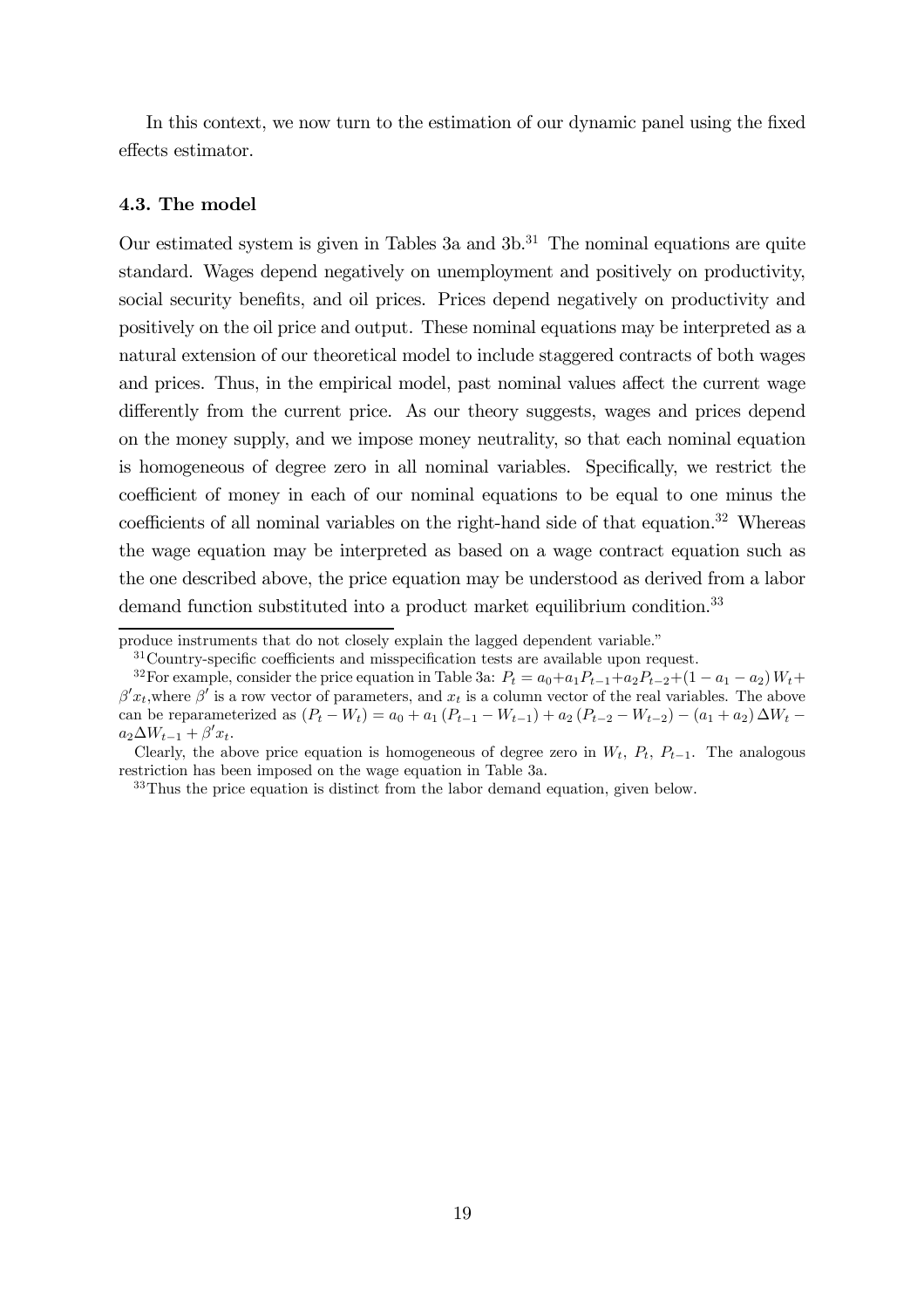In this context, we now turn to the estimation of our dynamic panel using the fixed effects estimator.

#### 4.3. The model

Our estimated system is given in Tables 3a and  $3b$ .<sup>31</sup> The nominal equations are quite standard. Wages depend negatively on unemployment and positively on productivity, social security benefits, and oil prices. Prices depend negatively on productivity and positively on the oil price and output. These nominal equations may be interpreted as a natural extension of our theoretical model to include staggered contracts of both wages and prices. Thus, in the empirical model, past nominal values affect the current wage differently from the current price. As our theory suggests, wages and prices depend on the money supply, and we impose money neutrality, so that each nominal equation is homogeneous of degree zero in all nominal variables. Specifically, we restrict the coefficient of money in each of our nominal equations to be equal to one minus the coefficients of all nominal variables on the right-hand side of that equation.<sup>32</sup> Whereas the wage equation may be interpreted as based on a wage contract equation such as the one described above, the price equation may be understood as derived from a labor demand function substituted into a product market equilibrium condition.<sup>33</sup>

produce instruments that do not closely explain the lagged dependent variable."

<sup>31</sup>Country-specific coefficients and misspecification tests are available upon request.

<sup>&</sup>lt;sup>32</sup>For example, consider the price equation in Table 3a:  $P_t = a_0 + a_1 P_{t-1} + a_2 P_{t-2} + (1 - a_1 - a_2) W_t +$  $\beta' x_t$ , where  $\beta'$  is a row vector of parameters, and  $x_t$  is a column vector of the real variables. The above can be reparameterized as  $(P_t - W_t) = a_0 + a_1 (P_{t-1} - W_{t-1}) + a_2 (P_{t-2} - W_{t-2}) - (a_1 + a_2) \Delta W_t$  $a_2\Delta W_{t-1} + \beta' x_t.$ 

Clearly, the above price equation is homogeneous of degree zero in  $W_t$ ,  $P_t$ ,  $P_{t-1}$ . The analogous restriction has been imposed on the wage equation in Table 3a.

<sup>&</sup>lt;sup>33</sup>Thus the price equation is distinct from the labor demand equation, given below.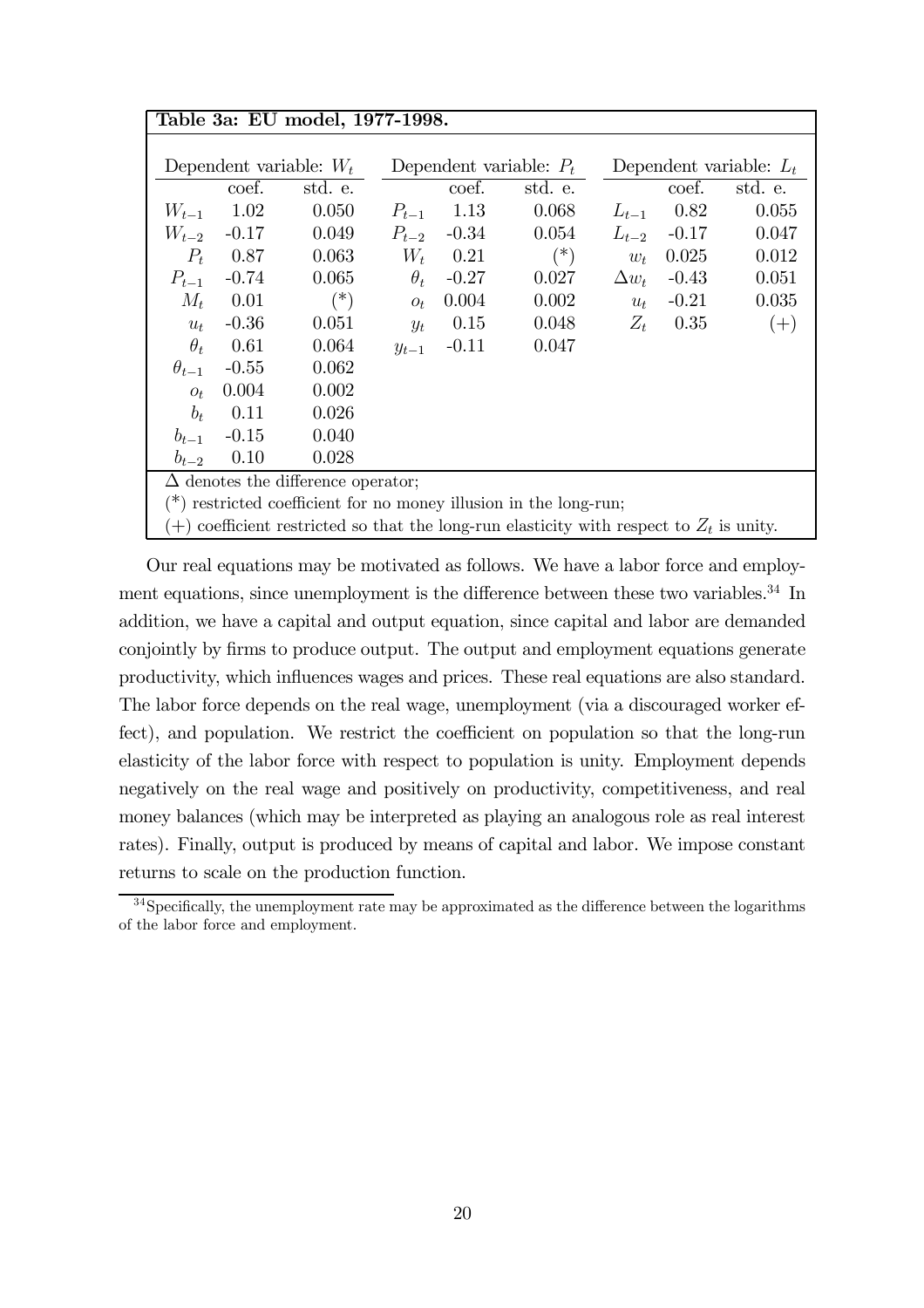| Table 3a: EU model, 1977-1998.                                                               |         |                                           |                           |            |         |              |                           |         |  |
|----------------------------------------------------------------------------------------------|---------|-------------------------------------------|---------------------------|------------|---------|--------------|---------------------------|---------|--|
|                                                                                              |         |                                           |                           |            |         |              |                           |         |  |
| Dependent variable: $W_t$                                                                    |         |                                           | Dependent variable: $P_t$ |            |         |              | Dependent variable: $L_t$ |         |  |
|                                                                                              | coef.   | std. e.                                   |                           | coef.      | std. e. |              | coef.                     | std. e. |  |
| $W_{t-1}$                                                                                    | 1.02    | 0.050                                     | $P_{t-1}$                 | 1.13       | 0.068   | $L_{t-1}$    | 0.82                      | 0.055   |  |
| $W_{t-2}$                                                                                    | $-0.17$ | 0.049                                     | $P_{t-2}$                 | $-0.34$    | 0.054   | $L_{t-2}$    | $-0.17$                   | 0.047   |  |
| $P_t$                                                                                        | 0.87    | 0.063                                     |                           | $W_t$ 0.21 | $(*)$   | $w_t$        | 0.025                     | 0.012   |  |
| $P_{t-1}$                                                                                    | $-0.74$ | 0.065                                     | $\theta_t$                | $-0.27$    | 0.027   | $\Delta w_t$ | $-0.43$                   | 0.051   |  |
| $M_t$                                                                                        | 0.01    | $(*)$                                     | $O_t$                     | 0.004      | 0.002   | $u_t$        | $-0.21$                   | 0.035   |  |
| $u_t$                                                                                        | $-0.36$ | 0.051                                     | $y_t$                     | 0.15       | 0.048   | $Z_t$        | 0.35                      | $(+)$   |  |
| $\theta_t$                                                                                   | 0.61    | 0.064                                     | $y_{t-1}$                 | $-0.11$    | 0.047   |              |                           |         |  |
| $\theta_{t-1}$                                                                               | $-0.55$ | 0.062                                     |                           |            |         |              |                           |         |  |
| $O_t$                                                                                        | 0.004   | 0.002                                     |                           |            |         |              |                           |         |  |
| $b_t$                                                                                        | 0.11    | 0.026                                     |                           |            |         |              |                           |         |  |
| $b_{t-1}$                                                                                    | $-0.15$ | 0.040                                     |                           |            |         |              |                           |         |  |
| $b_{t-2}$                                                                                    | 0.10    | 0.028                                     |                           |            |         |              |                           |         |  |
|                                                                                              |         | $\Delta$ denotes the difference operator; |                           |            |         |              |                           |         |  |
| $(*)$ restricted coefficient for no money illusion in the long-run;                          |         |                                           |                           |            |         |              |                           |         |  |
| $(+)$ coefficient restricted so that the long-run elasticity with respect to $Z_t$ is unity. |         |                                           |                           |            |         |              |                           |         |  |

Our real equations may be motivated as follows. We have a labor force and employment equations, since unemployment is the difference between these two variables.<sup>34</sup> In addition, we have a capital and output equation, since capital and labor are demanded conjointly by firms to produce output. The output and employment equations generate productivity, which influences wages and prices. These real equations are also standard. The labor force depends on the real wage, unemployment (via a discouraged worker effect), and population. We restrict the coefficient on population so that the long-run elasticity of the labor force with respect to population is unity. Employment depends negatively on the real wage and positively on productivity, competitiveness, and real money balances (which may be interpreted as playing an analogous role as real interest rates). Finally, output is produced by means of capital and labor. We impose constant returns to scale on the production function.

<sup>&</sup>lt;sup>34</sup>Specifically, the unemployment rate may be approximated as the difference between the logarithms of the labor force and employment.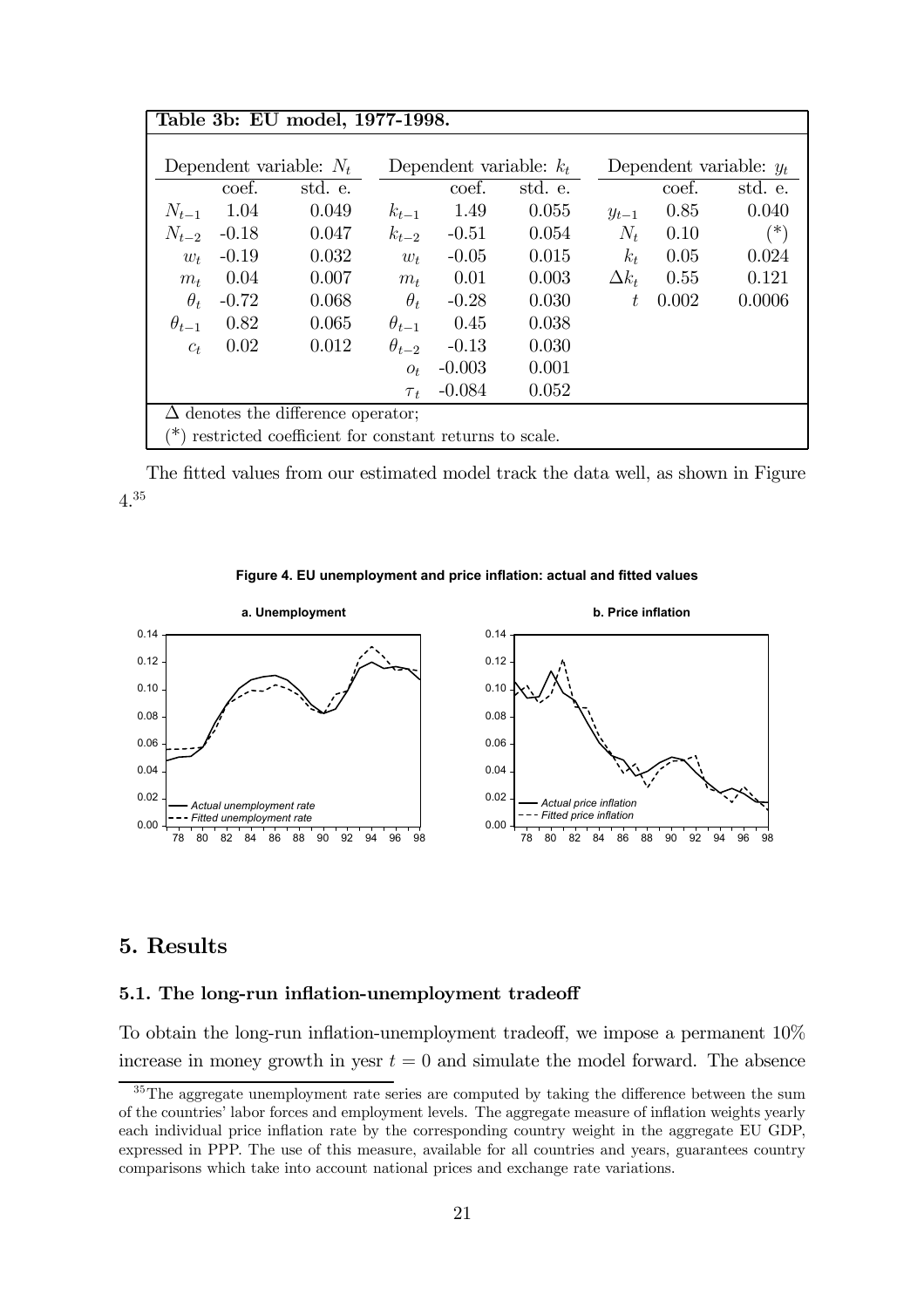| Table 3b: EU model, 1977-1998.                        |                                           |         |                           |          |         |                           |       |          |
|-------------------------------------------------------|-------------------------------------------|---------|---------------------------|----------|---------|---------------------------|-------|----------|
|                                                       |                                           |         |                           |          |         |                           |       |          |
| Dependent variable: $N_t$                             |                                           |         | Dependent variable: $k_t$ |          |         | Dependent variable: $y_t$ |       |          |
|                                                       | coef.                                     | std. e. |                           | coef.    | std. e. |                           | coef. | std. e.  |
| $N_{t-1}$                                             | 1.04                                      | 0.049   | $k_{t-1}$                 | 1.49     | 0.055   | $y_{t-1}$                 | 0.85  | 0.040    |
| $N_{t-2}$                                             | $-0.18$                                   | 0.047   | $k_{t-2}$                 | $-0.51$  | 0.054   | $N_t$                     | 0.10  | $(\ast)$ |
| $w_t$                                                 | $-0.19$                                   | 0.032   | $w_t$                     | $-0.05$  | 0.015   | $k_t$                     | 0.05  | 0.024    |
| $m_t$                                                 | 0.04                                      | 0.007   | $m_{t}$                   | 0.01     | 0.003   | $\Delta k_t$              | 0.55  | 0.121    |
| $\theta_t$                                            | $-0.72$                                   | 0.068   | $\theta_t$                | $-0.28$  | 0.030   | $t\,$                     | 0.002 | 0.0006   |
| $\theta_{t-1}$                                        | 0.82                                      | 0.065   | $\theta_{t-1}$            | 0.45     | 0.038   |                           |       |          |
| $c_t$                                                 | 0.02                                      | 0.012   | $\theta_{t-2}$            | $-0.13$  | 0.030   |                           |       |          |
|                                                       |                                           |         | $O_t$                     | $-0.003$ | 0.001   |                           |       |          |
| 0.052<br>$-0.084$<br>$\tau_t$                         |                                           |         |                           |          |         |                           |       |          |
|                                                       | $\Delta$ denotes the difference operator; |         |                           |          |         |                           |       |          |
| restricted coefficient for constant returns to scale. |                                           |         |                           |          |         |                           |       |          |

The fitted values from our estimated model track the data well, as shown in Figure 4.35

#### **Figure 4. EU unemployment and price inflation: actual and fitted values**



#### 5. Results

#### 5.1. The long-run inflation-unemployment tradeoff

To obtain the long-run inflation-unemployment tradeoff, we impose a permanent 10% increase in money growth in yesr  $t = 0$  and simulate the model forward. The absence

<sup>&</sup>lt;sup>35</sup>The aggregate unemployment rate series are computed by taking the difference between the sum of the countries' labor forces and employment levels. The aggregate measure of inflation weights yearly each individual price inflation rate by the corresponding country weight in the aggregate EU GDP, expressed in PPP. The use of this measure, available for all countries and years, guarantees country comparisons which take into account national prices and exchange rate variations.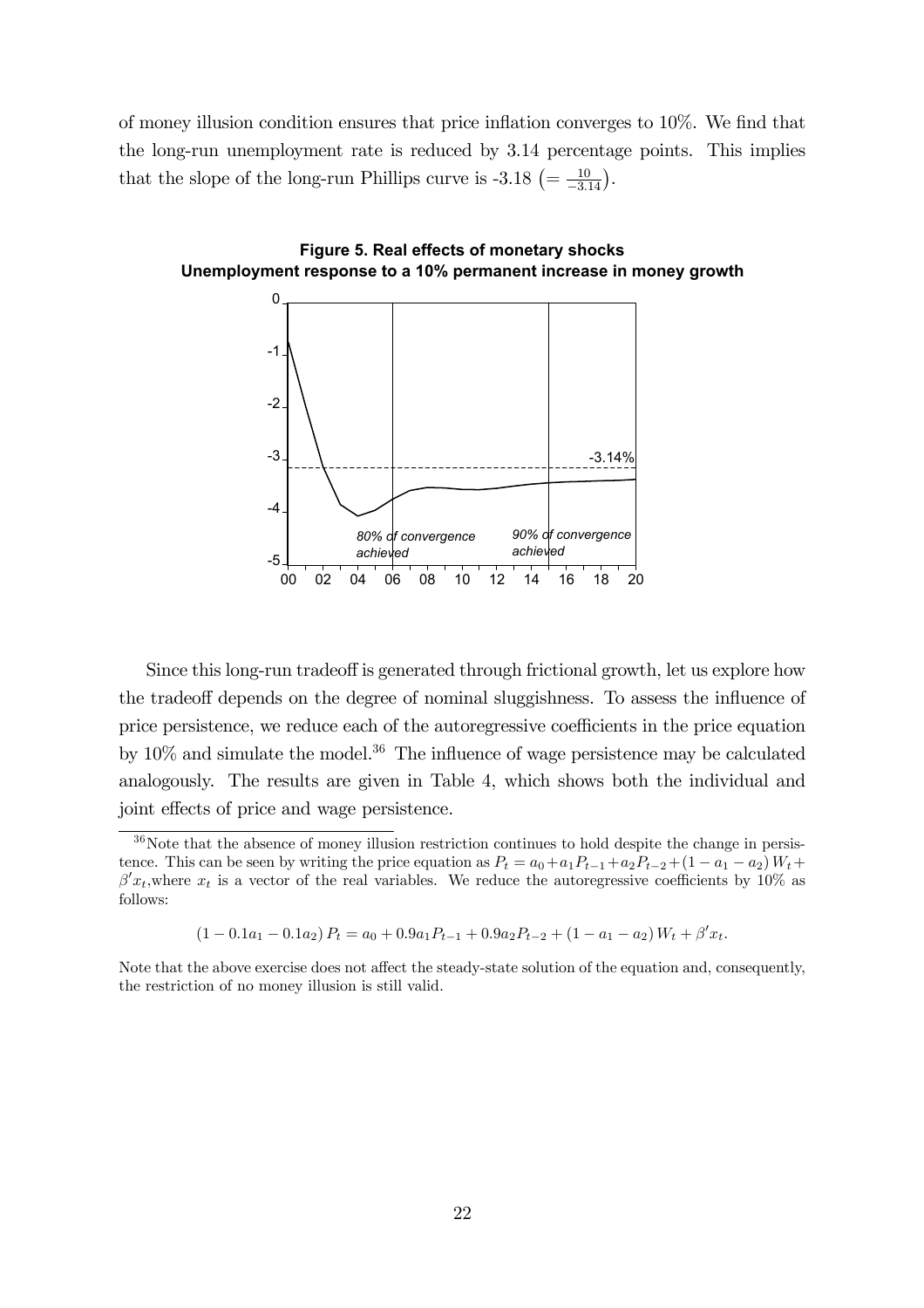of money illusion condition ensures that price inflation converges to 10%. We find that the long-run unemployment rate is reduced by 3.14 percentage points. This implies that the slope of the long-run Phillips curve is  $-3.18 \left( = \frac{10}{-3.14} \right)$ .



**Figure 5. Real effects of monetary shocks Unemployment response to a 10% permanent increase in money growth**

Since this long-run tradeoff is generated through frictional growth, let us explore how the tradeoff depends on the degree of nominal sluggishness. To assess the influence of price persistence, we reduce each of the autoregressive coefficients in the price equation by  $10\%$  and simulate the model.<sup>36</sup> The influence of wage persistence may be calculated analogously. The results are given in Table 4, which shows both the individual and joint effects of price and wage persistence.

 $(1 - 0.1a_1 - 0.1a_2) P_t = a_0 + 0.9a_1P_{t-1} + 0.9a_2P_{t-2} + (1 - a_1 - a_2)W_t + \beta' x_t.$ 

Note that the above exercise does not affect the steady-state solution of the equation and, consequently, the restriction of no money illusion is still valid.

 $36$ Note that the absence of money illusion restriction continues to hold despite the change in persistence. This can be seen by writing the price equation as  $P_t = a_0 + a_1 P_{t-1} + a_2 P_{t-2} + (1 - a_1 - a_2) W_t +$  $\beta' x_t$ , where  $x_t$  is a vector of the real variables. We reduce the autoregressive coefficients by 10% as follows: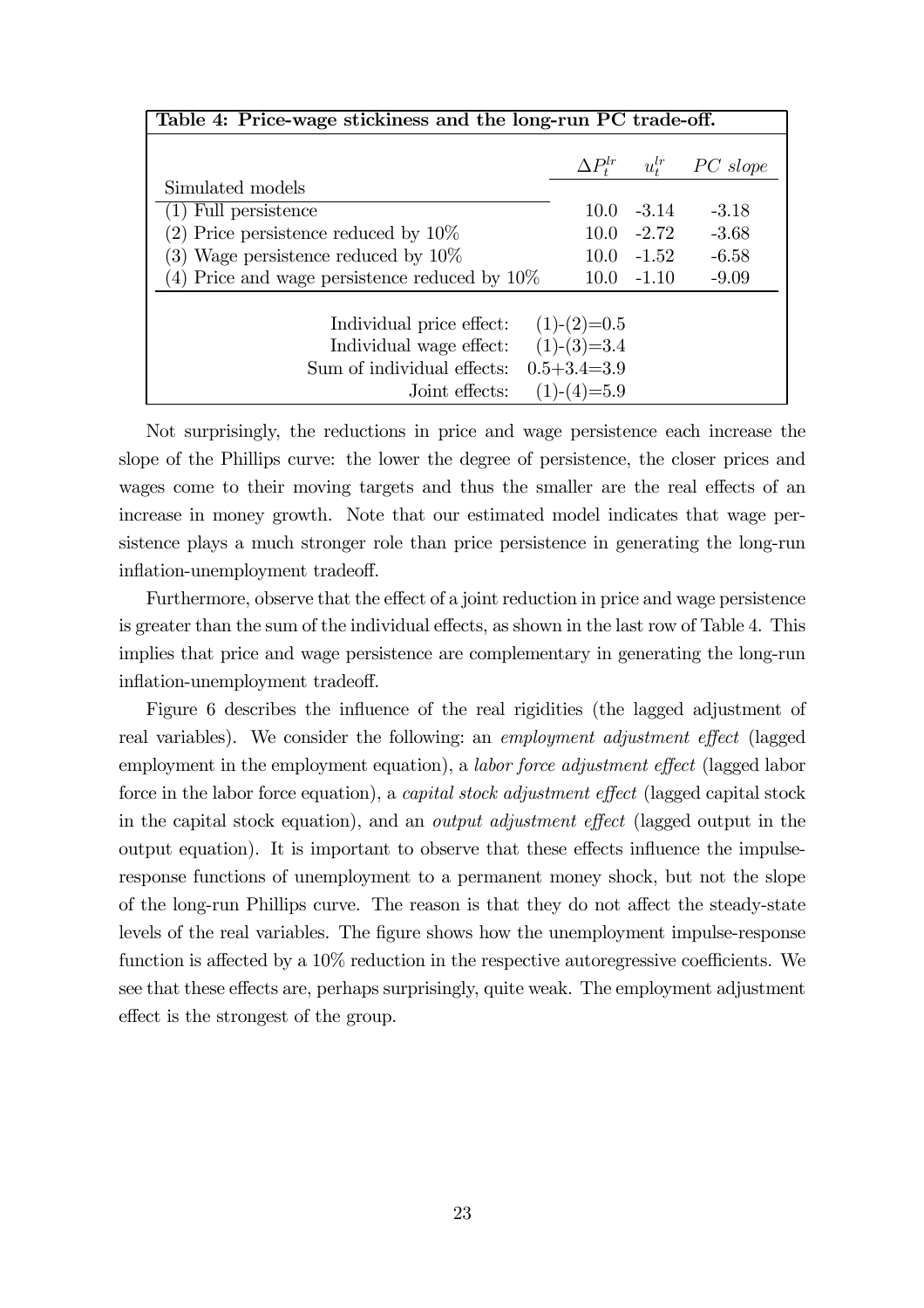| Table 4: Price-wage stickiness and the long-run PC trade-off. |                     |               |          |  |  |
|---------------------------------------------------------------|---------------------|---------------|----------|--|--|
|                                                               | $\Delta P^{lr}_{t}$ | $u^{lr}_t$    | PC slope |  |  |
| Simulated models                                              |                     |               |          |  |  |
| (1) Full persistence                                          | 10.0                | $-3.14$       | $-3.18$  |  |  |
| (2) Price persistence reduced by $10\%$                       |                     | $10.0 - 2.72$ | $-3.68$  |  |  |
| (3) Wage persistence reduced by $10\%$                        |                     | $10.0 - 1.52$ | $-6.58$  |  |  |
| (4) Price and wage persistence reduced by $10\%$              |                     | $10.0 - 1.10$ | $-9.09$  |  |  |
| Individual price effect:                                      | $(1)-(2)=0.5$       |               |          |  |  |
| Individual wage effect:                                       | $(1)-(3)=3.4$       |               |          |  |  |
| Sum of individual effects:                                    | $0.5 + 3.4 = 3.9$   |               |          |  |  |
| Joint effects:                                                | $(1)-(4)=5.9$       |               |          |  |  |

Not surprisingly, the reductions in price and wage persistence each increase the slope of the Phillips curve: the lower the degree of persistence, the closer prices and wages come to their moving targets and thus the smaller are the real effects of an increase in money growth. Note that our estimated model indicates that wage persistence plays a much stronger role than price persistence in generating the long-run inflation-unemployment tradeoff.

Furthermore, observe that the effect of a joint reduction in price and wage persistence is greater than the sum of the individual effects, as shown in the last row of Table 4. This implies that price and wage persistence are complementary in generating the long-run inflation-unemployment tradeoff.

Figure 6 describes the influence of the real rigidities (the lagged adjustment of real variables). We consider the following: an employment adjustment effect (lagged employment in the employment equation), a *labor force adjustment effect* (lagged labor force in the labor force equation), a capital stock adjustment effect (lagged capital stock in the capital stock equation), and an output adjustment effect (lagged output in the output equation). It is important to observe that these effects influence the impulseresponse functions of unemployment to a permanent money shock, but not the slope of the long-run Phillips curve. The reason is that they do not affect the steady-state levels of the real variables. The figure shows how the unemployment impulse-response function is affected by a  $10\%$  reduction in the respective autoregressive coefficients. We see that these effects are, perhaps surprisingly, quite weak. The employment adjustment effect is the strongest of the group.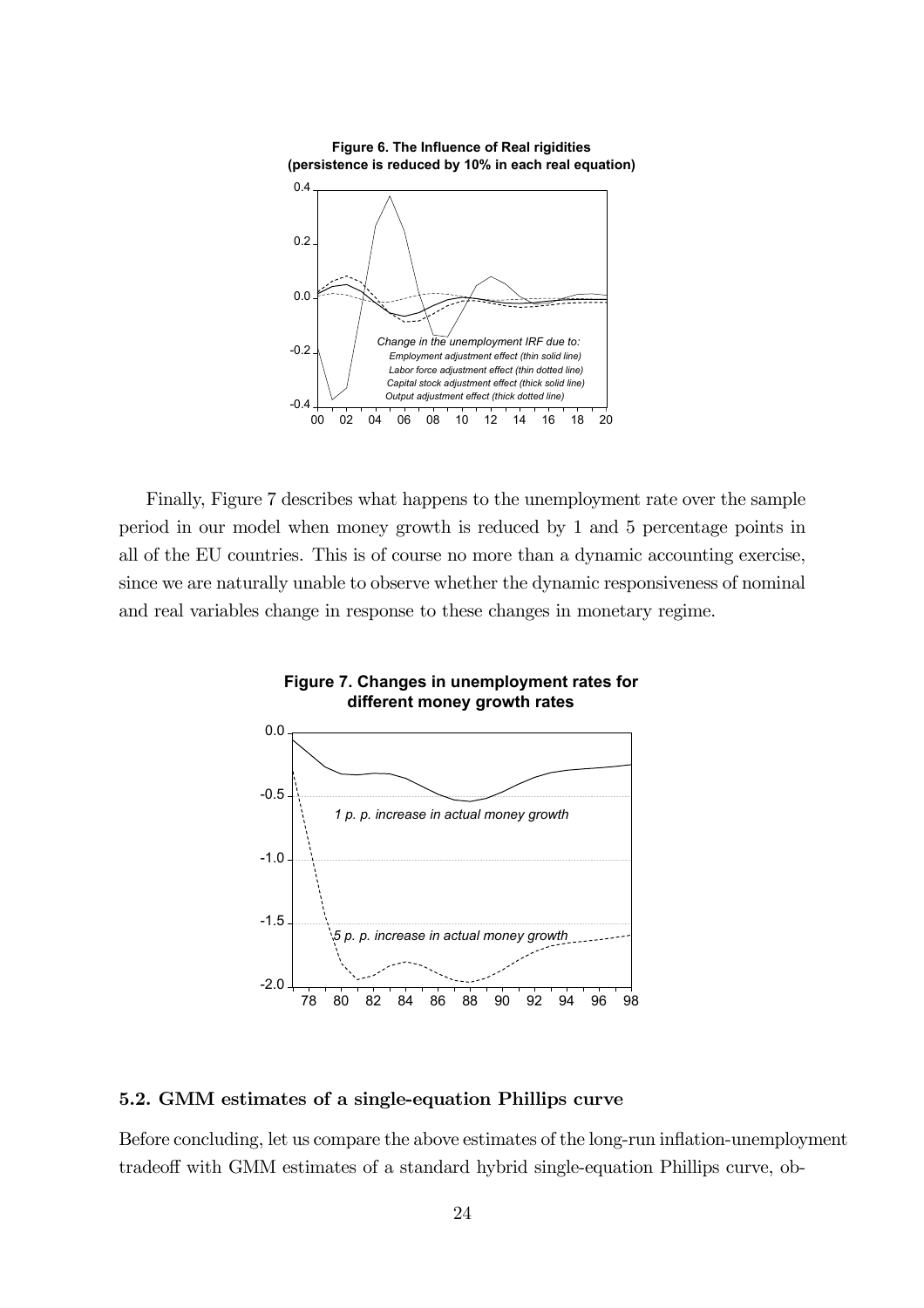

Finally, Figure 7 describes what happens to the unemployment rate over the sample period in our model when money growth is reduced by 1 and 5 percentage points in all of the EU countries. This is of course no more than a dynamic accounting exercise, since we are naturally unable to observe whether the dynamic responsiveness of nominal and real variables change in response to these changes in monetary regime.



#### **Figure 7. Changes in unemployment rates for different money growth rates**

#### 5.2. GMM estimates of a single-equation Phillips curve

Before concluding, let us compare the above estimates of the long-run inflation-unemployment tradeoff with GMM estimates of a standard hybrid single-equation Phillips curve, ob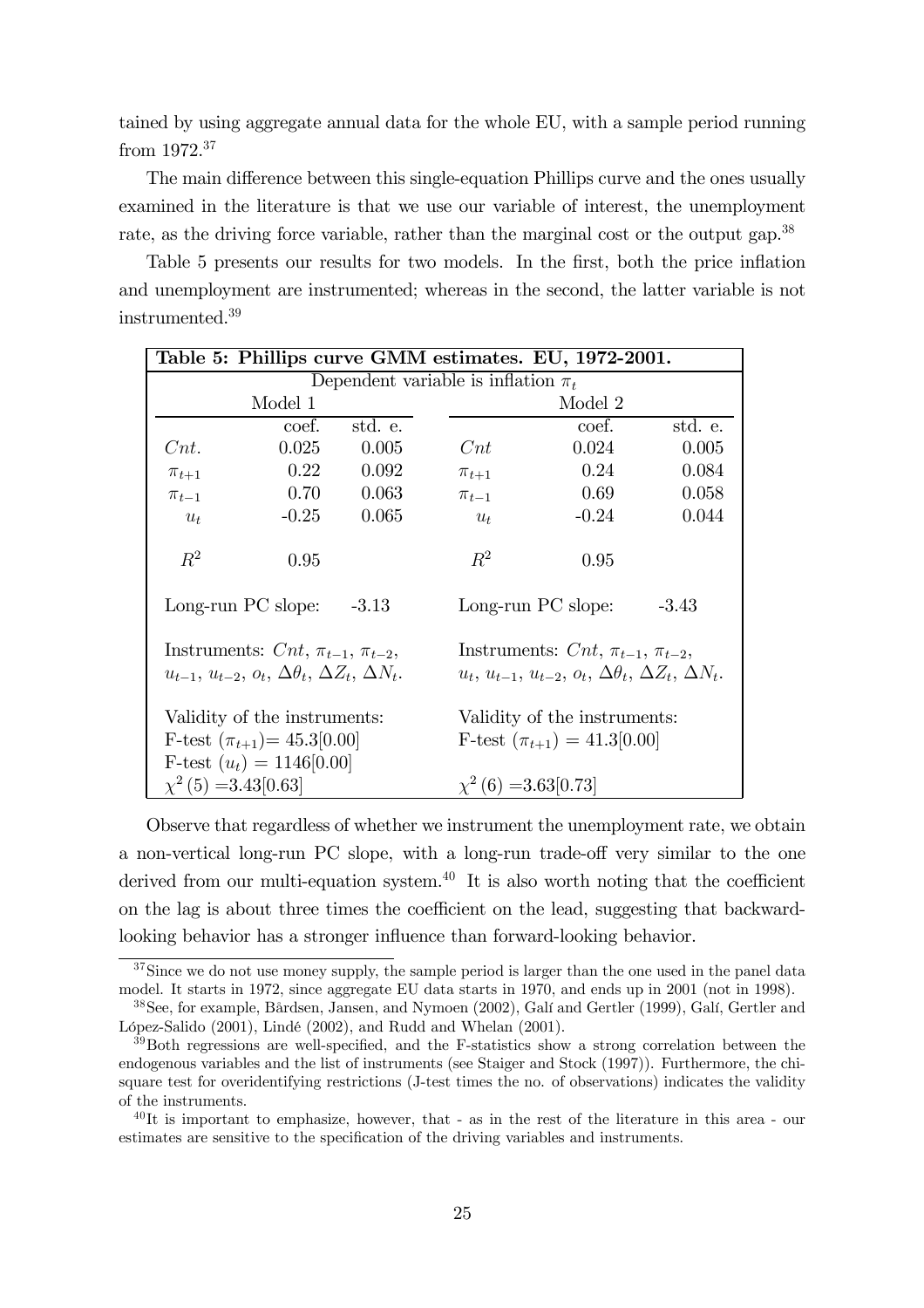tained by using aggregate annual data for the whole EU, with a sample period running from 1972.37

The main difference between this single-equation Phillips curve and the ones usually examined in the literature is that we use our variable of interest, the unemployment rate, as the driving force variable, rather than the marginal cost or the output gap.<sup>38</sup>

Table 5 presents our results for two models. In the first, both the price inflation and unemployment are instrumented; whereas in the second, the latter variable is not instrumented.39

| Table 5: Phillips curve GMM estimates. EU, 1972-2001.                                                                |         |         |                                                                                                                            |         |         |  |  |
|----------------------------------------------------------------------------------------------------------------------|---------|---------|----------------------------------------------------------------------------------------------------------------------------|---------|---------|--|--|
| Dependent variable is inflation $\pi_t$                                                                              |         |         |                                                                                                                            |         |         |  |  |
|                                                                                                                      | Model 1 |         |                                                                                                                            | Model 2 |         |  |  |
|                                                                                                                      | coef.   | std. e. |                                                                                                                            | coef.   | std. e. |  |  |
| Cnt.                                                                                                                 | 0.025   | 0.005   | Cnt                                                                                                                        | 0.024   | 0.005   |  |  |
| $\pi_{t+1}$                                                                                                          | 0.22    | 0.092   | $\pi_{t+1}$                                                                                                                | 0.24    | 0.084   |  |  |
| $\pi_{t-1}$                                                                                                          | 0.70    | 0.063   | $\pi_{t-1}$                                                                                                                | 0.69    | 0.058   |  |  |
| $u_t$                                                                                                                | $-0.25$ | 0.065   | $u_t$                                                                                                                      | $-0.24$ | 0.044   |  |  |
| $R^2$                                                                                                                | 0.95    |         | $R^2$                                                                                                                      | 0.95    |         |  |  |
| Long-run PC slope: $-3.13$                                                                                           |         |         | Long-run PC slope:                                                                                                         | $-3.43$ |         |  |  |
| Instruments: $Cnt$ , $\pi_{t-1}$ , $\pi_{t-2}$ ,<br>$u_{t-1}, u_{t-2}, o_t, \Delta\theta_t, \Delta Z_t, \Delta N_t.$ |         |         | Instruments: $Cnt$ , $\pi_{t-1}$ , $\pi_{t-2}$ ,<br>$u_t, u_{t-1}, u_{t-2}, o_t, \Delta \theta_t, \Delta Z_t, \Delta N_t.$ |         |         |  |  |
| Validity of the instruments:<br>F-test $(\pi_{t+1}) = 45.3[0.00]$<br>F-test $(u_t) = 1146[0.00]$                     |         |         | Validity of the instruments:<br>F-test $(\pi_{t+1}) = 41.3[0.00]$                                                          |         |         |  |  |
| $\chi^2$ (5) = 3.43[0.63]                                                                                            |         |         | $\chi^2(6) = 3.63[0.73]$                                                                                                   |         |         |  |  |

Observe that regardless of whether we instrument the unemployment rate, we obtain a non-vertical long-run PC slope, with a long-run trade-off very similar to the one derived from our multi-equation system. $40$  It is also worth noting that the coefficient on the lag is about three times the coefficient on the lead, suggesting that backwardlooking behavior has a stronger influence than forward-looking behavior.

<sup>&</sup>lt;sup>37</sup>Since we do not use money supply, the sample period is larger than the one used in the panel data model. It starts in 1972, since aggregate EU data starts in 1970, and ends up in 2001 (not in 1998).

<sup>38</sup>See, for example, Bårdsen, Jansen, and Nymoen (2002), Galí and Gertler (1999), Galí, Gertler and López-Salido (2001), Lindé (2002), and Rudd and Whelan (2001).

<sup>39</sup>Both regressions are well-specified, and the F-statistics show a strong correlation between the endogenous variables and the list of instruments (see Staiger and Stock (1997)). Furthermore, the chisquare test for overidentifying restrictions (J-test times the no. of observations) indicates the validity of the instruments.

 $^{40}$ It is important to emphasize, however, that - as in the rest of the literature in this area - our estimates are sensitive to the specification of the driving variables and instruments.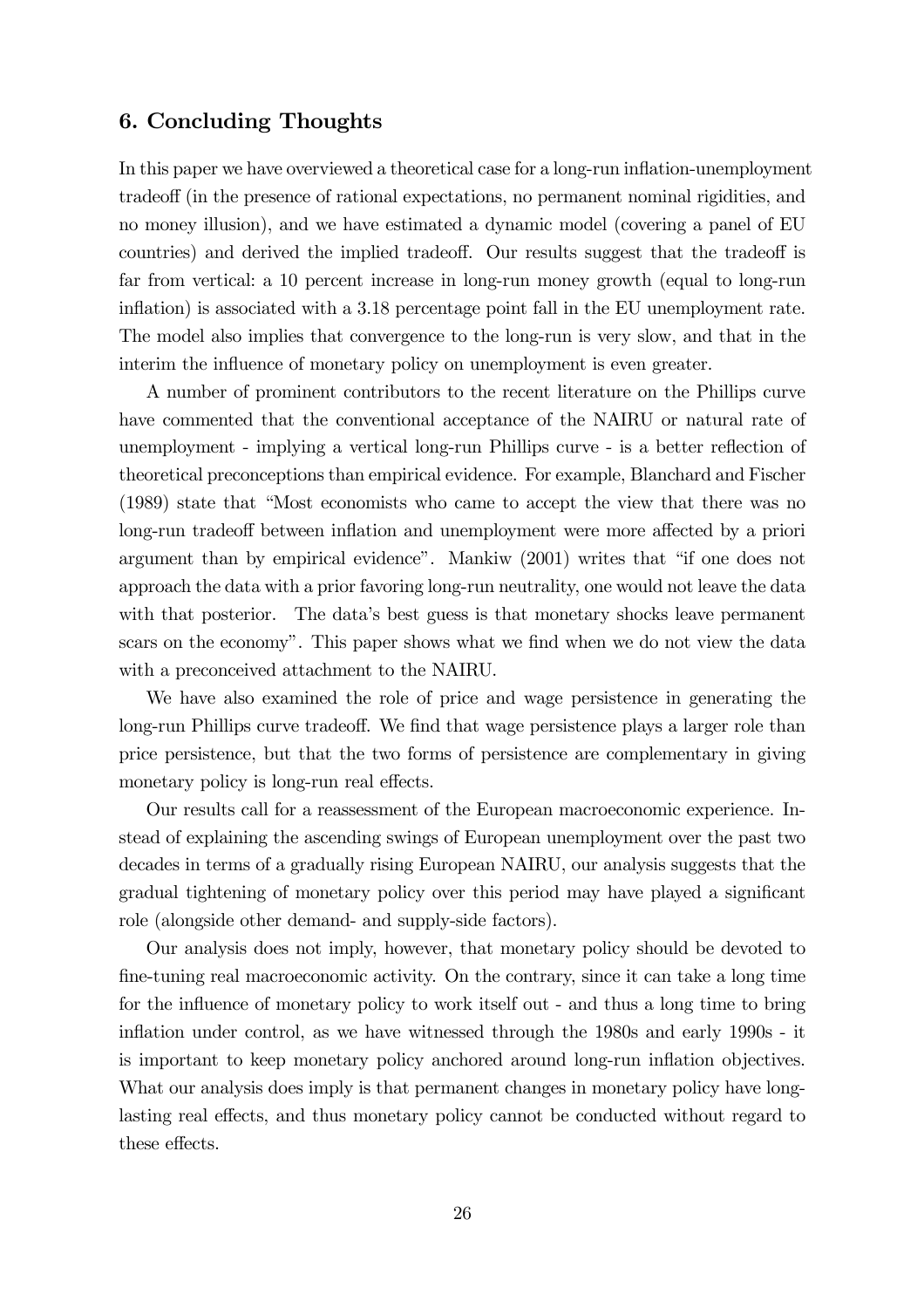#### 6. Concluding Thoughts

In this paper we have overviewed a theoretical case for a long-run inflation-unemployment tradeoff (in the presence of rational expectations, no permanent nominal rigidities, and no money illusion), and we have estimated a dynamic model (covering a panel of EU countries) and derived the implied tradeoff. Our results suggest that the tradeoff is far from vertical: a 10 percent increase in long-run money growth (equal to long-run inflation) is associated with a 3.18 percentage point fall in the EU unemployment rate. The model also implies that convergence to the long-run is very slow, and that in the interim the influence of monetary policy on unemployment is even greater.

A number of prominent contributors to the recent literature on the Phillips curve have commented that the conventional acceptance of the NAIRU or natural rate of unemployment - implying a vertical long-run Phillips curve - is a better reflection of theoretical preconceptions than empirical evidence. For example, Blanchard and Fischer (1989) state that "Most economists who came to accept the view that there was no long-run tradeoff between inflation and unemployment were more affected by a priori argument than by empirical evidence". Mankiw (2001) writes that "if one does not approach the data with a prior favoring long-run neutrality, one would not leave the data with that posterior. The data's best guess is that monetary shocks leave permanent scars on the economy". This paper shows what we find when we do not view the data with a preconceived attachment to the NAIRU.

We have also examined the role of price and wage persistence in generating the long-run Phillips curve tradeoff. We find that wage persistence plays a larger role than price persistence, but that the two forms of persistence are complementary in giving monetary policy is long-run real effects.

Our results call for a reassessment of the European macroeconomic experience. Instead of explaining the ascending swings of European unemployment over the past two decades in terms of a gradually rising European NAIRU, our analysis suggests that the gradual tightening of monetary policy over this period may have played a significant role (alongside other demand- and supply-side factors).

Our analysis does not imply, however, that monetary policy should be devoted to fine-tuning real macroeconomic activity. On the contrary, since it can take a long time for the influence of monetary policy to work itself out - and thus a long time to bring inflation under control, as we have witnessed through the 1980s and early 1990s - it is important to keep monetary policy anchored around long-run inflation objectives. What our analysis does imply is that permanent changes in monetary policy have longlasting real effects, and thus monetary policy cannot be conducted without regard to these effects.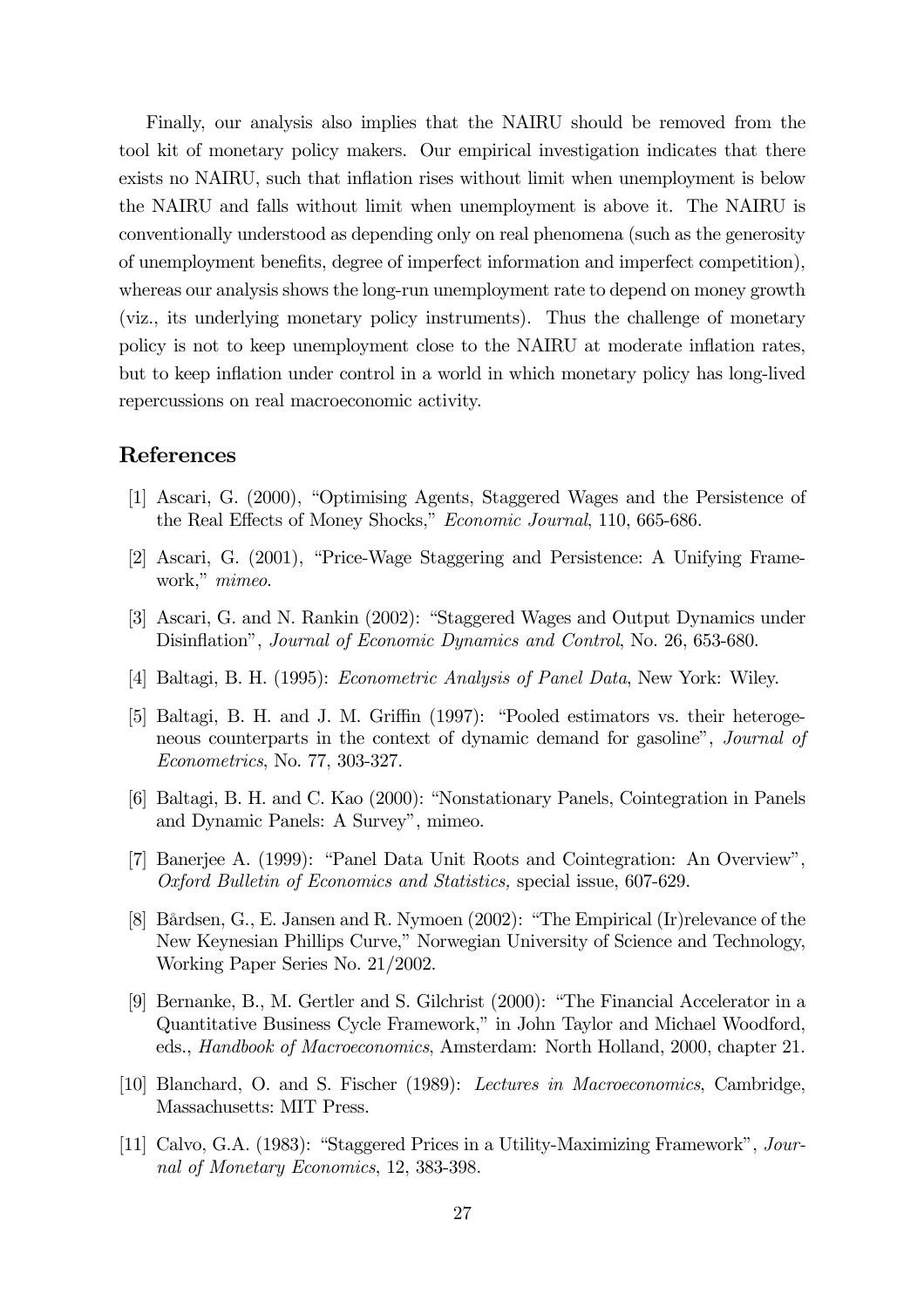Finally, our analysis also implies that the NAIRU should be removed from the tool kit of monetary policy makers. Our empirical investigation indicates that there exists no NAIRU, such that inflation rises without limit when unemployment is below the NAIRU and falls without limit when unemployment is above it. The NAIRU is conventionally understood as depending only on real phenomena (such as the generosity of unemployment benefits, degree of imperfect information and imperfect competition), whereas our analysis shows the long-run unemployment rate to depend on money growth (viz., its underlying monetary policy instruments). Thus the challenge of monetary policy is not to keep unemployment close to the NAIRU at moderate inflation rates, but to keep inflation under control in a world in which monetary policy has long-lived repercussions on real macroeconomic activity.

#### References

- [1] Ascari, G. (2000), "Optimising Agents, Staggered Wages and the Persistence of the Real Effects of Money Shocks," Economic Journal, 110, 665-686.
- [2] Ascari, G. (2001), "Price-Wage Staggering and Persistence: A Unifying Framework," mimeo.
- [3] Ascari, G. and N. Rankin (2002): "Staggered Wages and Output Dynamics under Disinflation", Journal of Economic Dynamics and Control, No. 26, 653-680.
- [4] Baltagi, B. H. (1995): Econometric Analysis of Panel Data, New York: Wiley.
- [5] Baltagi, B. H. and J. M. Griffin (1997): "Pooled estimators vs. their heterogeneous counterparts in the context of dynamic demand for gasoline", Journal of Econometrics, No. 77, 303-327.
- [6] Baltagi, B. H. and C. Kao (2000): "Nonstationary Panels, Cointegration in Panels and Dynamic Panels: A Survey", mimeo.
- [7] Banerjee A. (1999): "Panel Data Unit Roots and Cointegration: An Overview", Oxford Bulletin of Economics and Statistics, special issue, 607-629.
- [8] Bårdsen, G., E. Jansen and R. Nymoen (2002): "The Empirical (Ir)relevance of the New Keynesian Phillips Curve," Norwegian University of Science and Technology, Working Paper Series No. 21/2002.
- [9] Bernanke, B., M. Gertler and S. Gilchrist (2000): "The Financial Accelerator in a Quantitative Business Cycle Framework," in John Taylor and Michael Woodford, eds., Handbook of Macroeconomics, Amsterdam: North Holland, 2000, chapter 21.
- [10] Blanchard, O. and S. Fischer (1989): Lectures in Macroeconomics, Cambridge, Massachusetts: MIT Press.
- [11] Calvo, G.A. (1983): "Staggered Prices in a Utility-Maximizing Framework", Journal of Monetary Economics, 12, 383-398.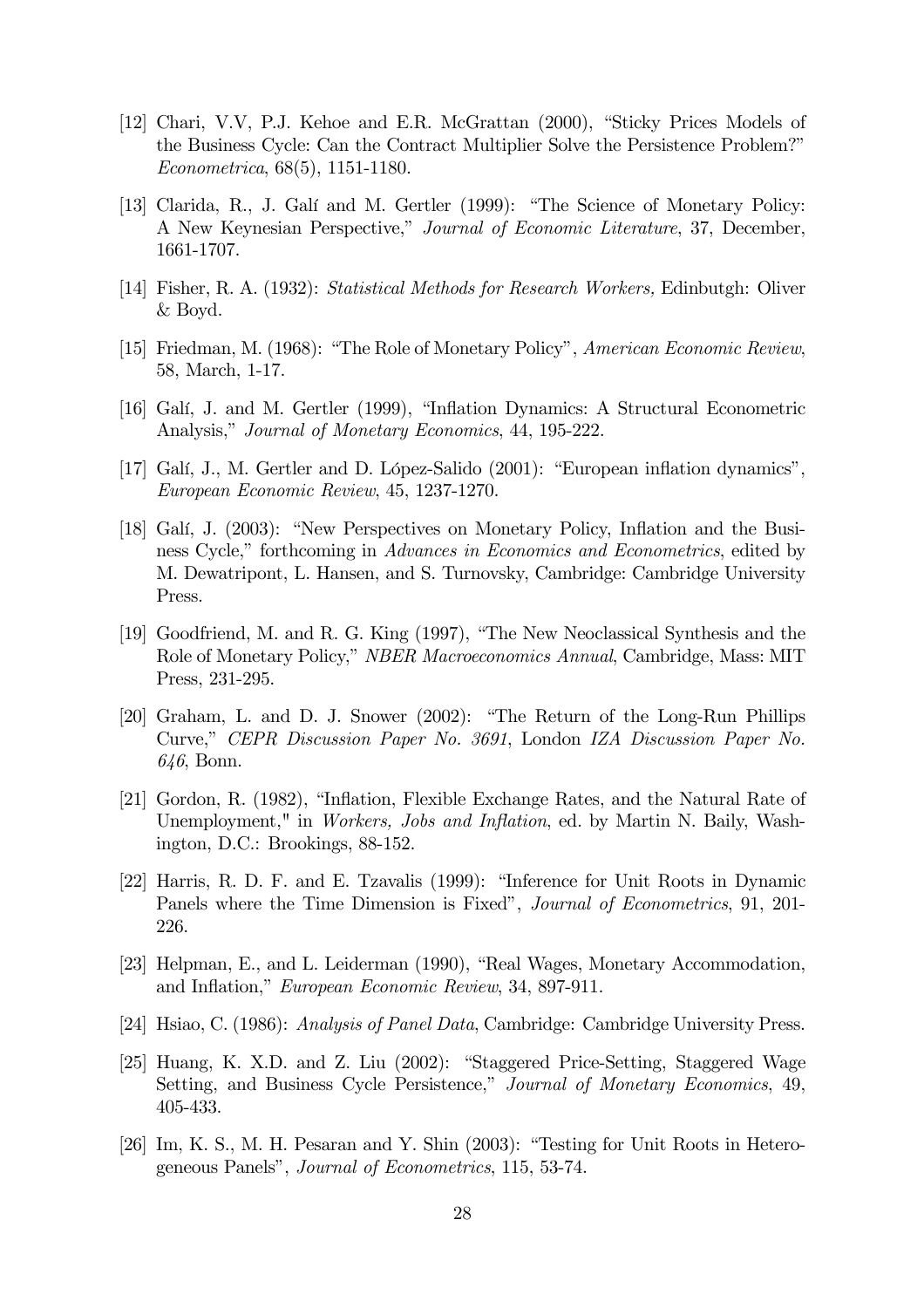- [12] Chari, V.V, P.J. Kehoe and E.R. McGrattan (2000), "Sticky Prices Models of the Business Cycle: Can the Contract Multiplier Solve the Persistence Problem?" Econometrica, 68(5), 1151-1180.
- [13] Clarida, R., J. Galí and M. Gertler (1999): "The Science of Monetary Policy: A New Keynesian Perspective," Journal of Economic Literature, 37, December, 1661-1707.
- [14] Fisher, R. A. (1932): Statistical Methods for Research Workers, Edinbutgh: Oliver & Boyd.
- [15] Friedman, M. (1968): "The Role of Monetary Policy", American Economic Review, 58, March, 1-17.
- [16] Galí, J. and M. Gertler (1999), "Inflation Dynamics: A Structural Econometric Analysis," Journal of Monetary Economics, 44, 195-222.
- [17] Galí, J., M. Gertler and D. López-Salido (2001): "European inflation dynamics", European Economic Review, 45, 1237-1270.
- [18] Galí, J. (2003): "New Perspectives on Monetary Policy, Inflation and the Business Cycle," forthcoming in Advances in Economics and Econometrics, edited by M. Dewatripont, L. Hansen, and S. Turnovsky, Cambridge: Cambridge University Press.
- [19] Goodfriend, M. and R. G. King (1997), "The New Neoclassical Synthesis and the Role of Monetary Policy," NBER Macroeconomics Annual, Cambridge, Mass: MIT Press, 231-295.
- [20] Graham, L. and D. J. Snower (2002): "The Return of the Long-Run Phillips Curve," CEPR Discussion Paper No. 3691, London IZA Discussion Paper No. 646, Bonn.
- [21] Gordon, R. (1982), "Inflation, Flexible Exchange Rates, and the Natural Rate of Unemployment," in *Workers, Jobs and Inflation*, ed. by Martin N. Baily, Washington, D.C.: Brookings, 88-152.
- [22] Harris, R. D. F. and E. Tzavalis (1999): "Inference for Unit Roots in Dynamic Panels where the Time Dimension is Fixed", Journal of Econometrics, 91, 201- 226.
- [23] Helpman, E., and L. Leiderman (1990), "Real Wages, Monetary Accommodation, and Inflation," European Economic Review, 34, 897-911.
- [24] Hsiao, C. (1986): Analysis of Panel Data, Cambridge: Cambridge University Press.
- [25] Huang, K. X.D. and Z. Liu (2002): "Staggered Price-Setting, Staggered Wage Setting, and Business Cycle Persistence," Journal of Monetary Economics, 49, 405-433.
- [26] Im, K. S., M. H. Pesaran and Y. Shin (2003): "Testing for Unit Roots in Heterogeneous Panels", Journal of Econometrics, 115, 53-74.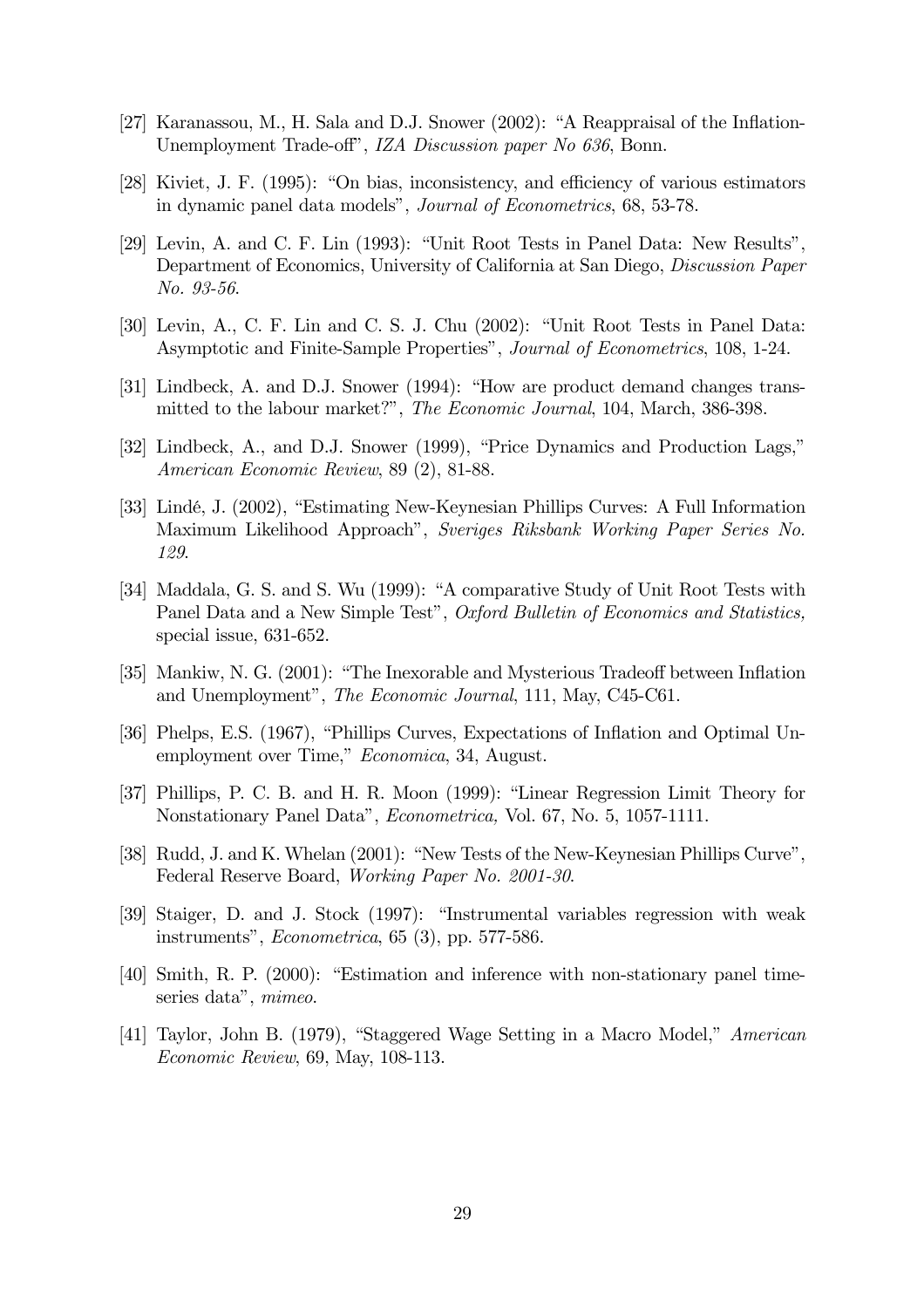- [27] Karanassou, M., H. Sala and D.J. Snower (2002): "A Reappraisal of the Inflation-Unemployment Trade-off", IZA Discussion paper No 636, Bonn.
- [28] Kiviet, J. F. (1995): "On bias, inconsistency, and efficiency of various estimators in dynamic panel data models", Journal of Econometrics, 68, 53-78.
- [29] Levin, A. and C. F. Lin (1993): "Unit Root Tests in Panel Data: New Results", Department of Economics, University of California at San Diego, Discussion Paper No. 93-56.
- [30] Levin, A., C. F. Lin and C. S. J. Chu (2002): "Unit Root Tests in Panel Data: Asymptotic and Finite-Sample Properties", Journal of Econometrics, 108, 1-24.
- [31] Lindbeck, A. and D.J. Snower (1994): "How are product demand changes transmitted to the labour market?", The Economic Journal, 104, March, 386-398.
- [32] Lindbeck, A., and D.J. Snower (1999), "Price Dynamics and Production Lags," American Economic Review, 89 (2), 81-88.
- [33] Lindé, J. (2002), "Estimating New-Keynesian Phillips Curves: A Full Information Maximum Likelihood Approach", Sveriges Riksbank Working Paper Series No. 129.
- [34] Maddala, G. S. and S. Wu (1999): "A comparative Study of Unit Root Tests with Panel Data and a New Simple Test", Oxford Bulletin of Economics and Statistics, special issue, 631-652.
- [35] Mankiw, N. G. (2001): "The Inexorable and Mysterious Tradeoff between Inflation and Unemployment", The Economic Journal, 111, May, C45-C61.
- [36] Phelps, E.S. (1967), "Phillips Curves, Expectations of Inflation and Optimal Unemployment over Time," Economica, 34, August.
- [37] Phillips, P. C. B. and H. R. Moon (1999): "Linear Regression Limit Theory for Nonstationary Panel Data", Econometrica, Vol. 67, No. 5, 1057-1111.
- [38] Rudd, J. and K. Whelan (2001): "New Tests of the New-Keynesian Phillips Curve", Federal Reserve Board, Working Paper No. 2001-30.
- [39] Staiger, D. and J. Stock (1997): "Instrumental variables regression with weak instruments", Econometrica, 65 (3), pp. 577-586.
- [40] Smith, R. P. (2000): "Estimation and inference with non-stationary panel timeseries data", mimeo.
- [41] Taylor, John B. (1979), "Staggered Wage Setting in a Macro Model," American Economic Review, 69, May, 108-113.